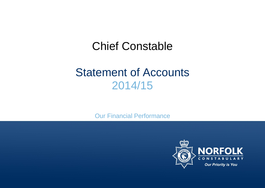# Chief Constable

# Statement of Accounts 2014/15

Our Financial Performance

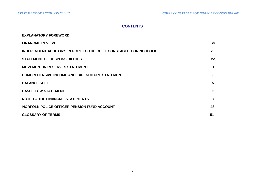# **CONTENTS**

| <b>EXPLANATORY FOREWORD</b>                                            | jj.            |
|------------------------------------------------------------------------|----------------|
| <b>FINANCIAL REVIEW</b>                                                | vi             |
| <b>INDEPENDENT AUDITOR'S REPORT TO THE CHIEF CONSTABLE FOR NORFOLK</b> | xii            |
| <b>STATEMENT OF RESPONSIBILITIES</b>                                   | <b>XV</b>      |
| <b>MOVEMENT IN RESERVES STATEMENT</b>                                  | 1              |
| <b>COMPREHENSIVE INCOME AND EXPENDITURE STATEMENT</b>                  | 3              |
| <b>BALANCE SHEET</b>                                                   | 5              |
| <b>CASH FLOW STATEMENT</b>                                             | 6              |
| <b>NOTE TO THE FINANCIAL STATEMENTS</b>                                | $\overline{7}$ |
| NORFOLK POLICE OFFICER PENSION FUND ACCOUNT                            | 48             |
| <b>GLOSSARY OF TERMS</b>                                               | 51             |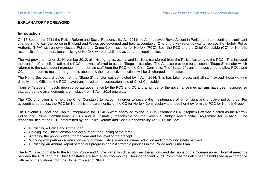# **EXPLANATORY FOREWORD**

#### **Introduction**

On 15 September 2011 the Police Reform and Social Responsibility Act 2011(the Act) received Royal Assent in Parliament representing a significant change in the way the police in England and Wales are governed and held accountable. One of the key reforms was to replace the Norfolk Police Authority (NPA) with a newly elected Police and Crime Commissioner for Norfolk (PCC). Both the PCC and the Chief Constable (CC) for Norfolk, responsible for the operational policing of Norfolk, were established as separate legal entities.

The Act provided that on 21 November 2012, all existing rights, assets and liabilities transferred from the Police Authority to the PCC. This included the transfer of all police staff to the PCC and was referred to as the "Stage 1" transfer. The Act also provided for a second "Stage 2" transfer which referred to the subsequent management of certain staff from the PCC to the Chief Constable. The "Stage 2" transfer is designed to allow PCCs and CCs the freedom to make arrangements about how their respective functions will be discharged in the future.

The Home Secretary directed that the "Stage 2" transfer was completed by 1 April 2014. This has taken place, and all staff, except those working directly in the Office of the PCC, have transferred to the corporation sole of Chief Constable.

Transfer "Stage 2" impacts upon corporate governance by the PCC and CC and a number of the governance mechanisms have been reviewed so that appropriate arrangements are in place from 1 April 2014 onwards.

The PCC's function is to hold the Chief Constable to account in order to secure the maintenance of an efficient and effective police force. For accounting purposes, the PCC for Norfolk is the parent entity of the CC for Norfolk Constabulary and together they form the PCC for Norfolk Group.

The Revenue Budget and Capital Programme for 2014/15 were approved by the PCC in February 2014. Stephen Bett was elected as the Norfolk Police and Crime Commissioner (PCC) and is ultimately responsible for the Revenue Budget and Capital Programme for 2014/15. The responsibilities of the PCC, determined by the Police Reform and Social Responsibility Act 2011, include:

- Publishing a Police and Crime Plan
- Holding the Chief Constable to account for the running of the force
- Agreeing the police budget for the year and the level of the precept
- Working with partner organisations e.g. criminal justice agencies, crime reduction and community safety partners
- Publishing an Annual Report setting out progress against strategic priorities in the Police and Crime Plan.

The PCC is accountable to the Norfolk Police and Crime Panel which scrutinises the actions and decisions of the Commissioner. Formal meetings between the PCC and the Chief Constable are held every two months. An independent Audit Committee has also been established in accordance with recommendations from the Home Office and CIPFA.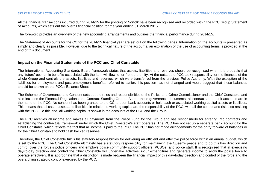All the financial transactions incurred during 2014/15 for the policing of Norfolk have been recognised and recorded within the PCC Group Statement of Accounts, which sets out the overall financial position for the year ending 31 March 2015.

The foreword provides an overview of the new accounting arrangements and outlines the financial performance during 2014/15.

The Statement of Accounts for the CC for the 2014/15 financial year are set out on the following pages. Information on the accounts is presented as simply and clearly as possible. However, due to the technical nature of the accounts, an explanation of the use of accounting terms is provided at the end of this document.

#### **Impact on the Financial Statements of the PCC and Chief Constable**

The International Accounting Standards Board framework states that assets, liabilities and reserves should be recognised when it is probable that any 'future' economic benefits associated with the item will flow to, or from the entity. At the outset the PCC took responsibility for the finances of the whole Group and controls the assets, liabilities and reserves, which were transferred from the previous Police Authority. With the exception of the liabilities for employment and post-employment benefits, referred to earlier, this position has not changed and would suggest that these balances should be shown on the PCC's Balance Sheet.

The Scheme of Governance and Consent sets out the roles and responsibilities of the Police and Crime Commissioner and the Chief Constable, and also includes the Financial Regulations and Contract Standing Orders. As per these governance documents, all contracts and bank accounts are in the name of the PCC. No consent has been granted to the CC to open bank accounts or hold cash or associated working capital assets or liabilities. This means that all cash, assets and liabilities in relation to working capital are the responsibility of the PCC, with all the control and risk also residing with the PCC. To this end, all working capital is shown in the accounts of the PCC and the Group.

The PCC receives all income and makes all payments from the Police Fund for the Group and has responsibility for entering into contracts and establishing the contractual framework under which the Chief Constable's staff operates. The PCC has not set up a separate bank account for the Chief Constable, which reflects the fact that all income is paid to the PCC. The PCC has not made arrangements for the carry forward of balances or for the Chief Constable to hold cash backed reserves.

Therefore, the Chief Constable fulfils his statutory responsibilities for delivering an efficient and effective police force within an annual budget, which is set by the PCC. The Chief Constable ultimately has a statutory responsibility for maintaining the Queen's peace and to do this has direction and control over the force's police officers and employs police community support officers (PCSOs) and police staff. It is recognised that in exercising day-to-day direction and control the Chief Constable will undertake activities, incur expenditure and generate income to allow the police force to operate effectively. It is appropriate that a distinction is made between the financial impact of this day-today direction and control of the force and the overarching strategic control exercised by the PCC.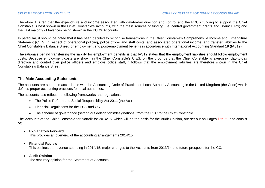Therefore it is felt that the expenditure and income associated with day-to-day direction and control and the PCC's funding to support the Chief Constable is best shown in the Chief Constable's Accounts, with the main sources of funding (i.e. central government grants and Council Tax) and the vast majority of balances being shown in the PCC's Accounts.

In particular, it should be noted that it has been decided to recognise transactions in the Chief Constable's Comprehensive Income and Expenditure Statement (CIES) in respect of operational policing, police officer and staff costs, and associated operational income, and transfer liabilities to the Chief Constable's Balance Sheet for employment and post-employment benefits in accordance with International Accounting Standard 19 (IAS19).

The rationale behind transferring the liability for employment benefits is that IAS19 states that the employment liabilities should follow employment costs. Because employment costs are shown in the Chief Constable's CIES, on the grounds that the Chief Constable is exercising day-to-day direction and control over police officers and employs police staff, it follows that the employment liabilities are therefore shown in the Chief Constable's Balance Sheet.

#### **The Main Accounting Statements**

The accounts are set out in accordance with the Accounting Code of Practice on Local Authority Accounting in the United Kingdom (the Code) which defines proper accounting practices for local authorities.

The accounts also reflect the following frameworks and regulations:

- The Police Reform and Social Responsibility Act 2011 (the Act)
- Financial Regulations for the PCC and CC
- The scheme of governance (setting out delegations/designations) from the PCC to the Chief Constable.

The Accounts of the Chief Constable for Norfolk for 2014/15, which will be the basis for the Audit Opinion, are set out on Pages ii to 50 and consist of;

**Explanatory Forward**

This provides an overview of the accounting arrangements 2014/15.

**Financial Review**

This outlines the revenue spending in 2014/15, major changes to the Accounts from 2013/14 and future prospects for the CC.

**Audit Opinion** 

The statutory opinion for the Statement of Accounts.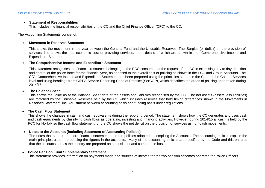#### **Statement of Responsibilities**

This includes the financial responsibilities of the CC and the Chief Finance Officer (CFO) to the CC.

The Accounting Statements consist of:

#### **Movement in Reserves Statement**

This shows the movement in the year between the General Fund and the Unusable Reserves. The 'Surplus (or deficit) on the provision of services' line shows the true economic cost of providing services, more details of which are shown in the Comprehensive Income and Expenditure Statement.

#### **The Comprehensive Income and Expenditure Statement**

This statement recognises the financial resources belonging to the PCC consumed at the request of the CC in exercising day to day direction and control of the police force for the financial year, as opposed to the overall cost of policing as shown in the PCC and Group Accounts. The CC's Comprehensive Income and Expenditure Statement has been prepared using the principles set out in the Code of the Cost of Services level and using headings from CIPFA Service Reporting Code of Practice (SerCOP), which describes the areas of policing undertaken during 2014/15.

#### **The Balance Sheet**

This shows the value as at the Balance Sheet date of the assets and liabilities recognised by the CC. The net assets (assets less liabilities) are matched by the Unusable Reserves held by the CC which includes reserves that hold timing differences shown in the Movements in Reserves Statement line 'Adjustment between accounting basis and funding basis under regulations'.

#### **The Cash Flow Statement**

This shows the changes in cash and cash equivalents during the reporting period. The statement shows how the CC generates and uses cash and cash equivalents by classifying cash flows as operating, investing and financing activities. However, during 2014/15 all cash is held by the PCC for Norfolk so the cash flow statement for the CC shows the net deficit on the provision of services as non-cash movements.

#### **Notes to the Accounts (including Statement of Accounting Policies)**

The notes that support the core financial statements and the policies adopted in compiling the Accounts. The accounting policies explain the main principles used in producing the figures in the accounts. Many of the accounting policies are specified by the Code and this ensures that the accounts across the country are prepared on a consistent and comparable basis.

## **Police Pension Fund Supplementary Statement**

This statement provides information on payments made and sources of income for the two pension schemes operated for Police Officers.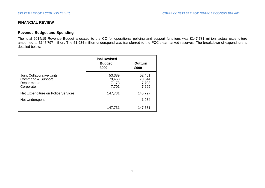# **FINANCIAL REVIEW**

# **Revenue Budget and Spending**

The total 2014/15 Revenue Budget allocated to the CC for operational policing and support functions was £147.731 million; actual expenditure amounted to £145.797 million. The £1.934 million underspend was transferred to the PCC's earmarked reserves. The breakdown of expenditure is detailed below:

|                                                                            | <b>Final Revised</b><br><b>Budget</b><br>£000 | Outturn<br>£000                    |
|----------------------------------------------------------------------------|-----------------------------------------------|------------------------------------|
| Joint Collaborative Units<br>Command & Support<br>Departments<br>Corporate | 53,389<br>79,468<br>7,173<br>7,701            | 52,451<br>78,344<br>7,703<br>7,299 |
| Net Expenditure on Police Services<br>Net Underspend                       | 147,731                                       | 145,797<br>1,934                   |
|                                                                            | 147,731                                       | 147,731                            |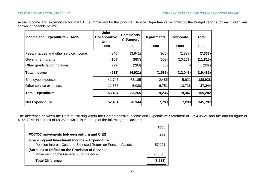Actual income and expenditure for 2014/15, summarised by the principal Service Departments recorded in the budget reports for each year, are shown in the table below;

| Income and Expenditure 2014/15         | <b>Joint</b><br>Collaborative<br><b>Units</b> | <b>Commands</b><br>& Support | <b>Departments</b> | Corporate | <b>Total</b> |
|----------------------------------------|-----------------------------------------------|------------------------------|--------------------|-----------|--------------|
|                                        | £000                                          | £000                         | £000               | £000      | £000         |
| Fees, charges and other service income | (845)                                         | (3,641)                      | (960)              | (1,887)   | (7, 333)     |
| Government grants                      | (109)                                         | (987)                        | (558)              | (10, 161) | (11, 815)    |
| Other grants & contributions           | (29)                                          | (293)                        | (15)               |           | (337)        |
| <b>Total Income</b>                    | (983)                                         | (4,921)                      | (1, 533)           | (12,048)  | (19, 485)    |
| Employee expenses                      | 41,747                                        | 78,185                       | 2,485              | 5,621     | 128,038      |
| Other service expenses                 | 11,687                                        | 5,080                        | 6,751              | 13,726    | 37,244       |
| <b>Total Expenditure</b>               | 53,434                                        | 83,265                       | 9,236              | 19,347    | 165,282      |
| <b>Net Expenditure</b>                 | 52,451                                        | 78,344                       | 7,703              | 7,299     | 145,797      |

The difference between the Cost of Policing within the Comprehensive Income and Expenditure Statement of £154.055m and the outturn figure of £145.797m is a credit of £8.258m which is made up of the following transactions;

|                                                                                                                         | £000     |
|-------------------------------------------------------------------------------------------------------------------------|----------|
| PCC/CC movements between outturn and CIES                                                                               | 4,979    |
| <b>Financing and Investment Income &amp; Expenditure</b><br>Pension Interest Cost and Expected Return on Pension Assets | 57,121   |
| (Surplus) or Deficit on the Provision of Services<br>Movement on the General Fund Balance                               | (70,358) |
| <b>Total Difference</b>                                                                                                 | (8.258)  |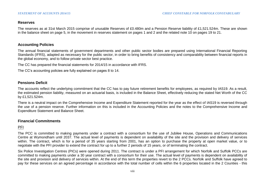## **Reserves**

The reserves as at 31st March 2015 comprise of unusable Reserves of £0.480m and a Pension Reserve liability of £1,521.524m. These are shown in the balance sheet on page 5, in the movement in reserves statement on pages 1 and 2 and the related note 10 on pages 19 to 21.

# **Accounting Policies**

The annual financial statements of government departments and other public sector bodies are prepared using International Financial Reporting Standards (IFRS), adapted as necessary for the public sector, in order to bring benefits of consistency and comparability between financial reports in the global economy, and to follow private sector best practice.

The CC has prepared the financial statements for 2014/15 in accordance with IFRS.

The CC's accounting policies are fully explained on pages 8 to 14.

# **Pensions Deficit**

The accounts reflect the underlying commitment that the CC has to pay future retirement benefits for employees, as required by IAS19. As a result, the estimated pension liability, measured on an actuarial basis, is included in the Balance Sheet, effectively reducing the stated Net Worth of the CC by £1,521.524m.

There is a neutral impact on the Comprehensive Income and Expenditure Statement reported for the year as the effect of IAS19 is reversed through the use of a pension reserve. Further information on this is included in the Accounting Policies and the notes to the Comprehensive Income and Expenditure Statement and Balance Sheet.

# **Financial Commitments**

# PFI

The PCC is committed to making payments under a contract with a consortium for the use of Jubilee House, Operations and Communications Centre at Wymondham until 2037. The actual level of payments is dependent on availability of the site and the provision and delivery of services within. The contract, which is for a period of 35 years starting from 2001, has an option to purchase the property at open market value, or to negotiate with the PFI provider to extend the contract for up to a further 2 periods of 15 years, or of terminating the contract.

Six Police Investigation Centres (PICs) were opened during 2011. The contract is under a PFI arrangement for which Norfolk and Suffolk PCCs are committed to making payments under a 30 year contract with a consortium for their use. The actual level of payments is dependent on availability of the site and provision and delivery of services within. At the end of this term the properties revert to the 2 PCCs. Norfolk and Suffolk have agreed to pay for these services on an agreed percentage in accordance with the total number of cells within the 6 properties located in the 2 Counties - this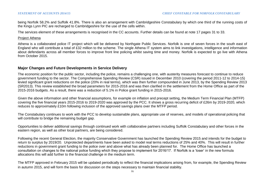being Norfolk 58.2% and Suffolk 41.8%. There is also an arrangement with Cambridgeshire Constabulary by which one third of the running costs of the Kings Lynn PIC are recharged to Cambridgeshire for the use of the cells within.

The services element of these arrangements is recognised in the CC accounts. Further details can be found at note 17 pages 31 to 33.

#### Project Athena

Athena is a collaborated police IT project which will be delivered by Northgate Public Services. Norfolk is one of seven forces in the south east of England who will contribute a total of £32 million to the scheme. The single Athena IT system aims to link investigations, intelligence and information about defendants across all member forces to improve front line policing whilst saving time and money. Norfolk is expected to go live with Athena from October 2015.

# **Major Changes and Future Developments in Service Delivery**

The economic position for the public sector, including the police, remains a challenging one, with austerity measures forecast to continue to reduce government funding to the sector. The Comprehensive Spending Review (CSR) issued in December 2010 (covering the period 2011-12 to 2014-15) levied significant grant reductions on the police (20% in real terms), which was then further compounded in June 2013, by the Spending Review 2013 (SR2013). This review established the broad parameters for 2015-2016 and was then clarified in the settlement from the Home Office as part of the 2015-2016 budgets. As a result, there was a reduction of 5.1% in Police grant funding in 2015-2016.

Given the above information and other financial assumptions, for example on inflation and precept setting, the Medium Term Financial Plan (MTFP) covering the five financial years 2015-2016 to 2019-2020 was approved by the PCC. It shows a gross recurring deficit of £26m by 2019-2020, which reduces to approximately £10m following inclusion of the approved savings plans over the MTFP period.

The Constabulary continues to work with the PCC to develop sustainable plans, appropriate use of reserves, and models of operational policing that will contribute to bridge the remaining budget gap.

Opportunities to deliver additional savings through continued work with collaborative partners including Suffolk Constabulary and other forces in the eastern region, as well as other local partners, are being considered.

Following the recent General Election, the majority Conservative Government has launched the Spending Review 2015 and intends for the budget to return to surplus by 2019/20. Unprotected departments have been asked to model real terms reductions of 25% and 40%. This will result in further reductions in government grant funding to the police over and above what has already been planned for. The Home Office has launched a consultation on changes to the national police funding which they propose to implement for 2016/17. If Norfolk is a 'loser' in the new formula allocations this will add further to the financial challenge in the medium term.

The MTFP approved in February 2015 will be updated periodically to reflect the financial implications arising from, for example, the Spending Review in autumn 2015, and will form the basis for discussion on the steps necessary to maintain financial stability.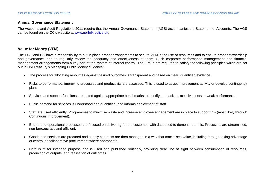## **Annual Governance Statement**

The Accounts and Audit Regulations 2011 require that the Annual Governance Statement (AGS) accompanies the Statement of Accounts. The AGS can be found on the CC's website at [www.norfolk.police.uk.](http://www.norfolk.police.uk/)

# **Value for Money (VFM)**

The PCC and CC have a responsibility to put in place proper arrangements to secure VFM in the use of resources and to ensure proper stewardship and governance, and to regularly review the adequacy and effectiveness of them. Such corporate performance management and financial management arrangements form a key part of the system of internal control. The Group are required to satisfy the following principles which are set out in HM Treasury's Managing Public Money guidance:

- The process for allocating resources against desired outcomes is transparent and based on clear, quantified evidence.
- Risks to performance, improving processes and productivity are assessed. This is used to target improvement activity or develop contingency plans.
- Services and support functions are tested against appropriate benchmarks to identify and tackle excessive costs or weak performance.
- Public demand for services is understood and quantified, and informs deployment of staff.
- Staff are used efficiently. Programmes to minimise waste and increase employee engagement are in place to support this (most likely through Continuous Improvement).
- End-to-end operational processes are focused on delivering for the customer, with data used to demonstrate this. Processes are streamlined, non-bureaucratic and efficient.
- Goods and services are procured and supply contracts are then managed in a way that maximises value, including through taking advantage of central or collaborative procurement where appropriate.
- Data is fit for intended purpose and is used and published routinely, providing clear line of sight between consumption of resources, production of outputs, and realisation of outcomes.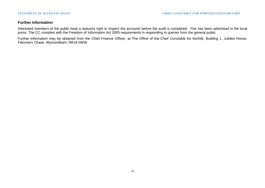# **Further Information**

Interested members of the public have a statutory right to inspect the accounts before the audit is completed. This has been advertised in the local press. The CC complies with the Freedom of Information Act 2005 requirements in responding to queries from the general public.

Further information may be obtained from the Chief Finance Officer, at The Office of the Chief Constable for Norfolk, Building 1, Jubilee House, Falconers Chase, Wymondham, NR18 0WW.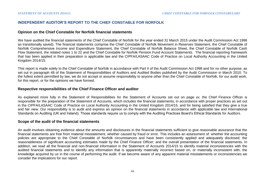# **INDEPENDENT AUDITOR'S REPORT TO THE CHIEF CONSTABLE FOR NORFOLK**

#### **Opinion on the Chief Constable for Norfolk financial statements**

We have audited the financial statements of the Chief Constable of Norfolk for the year ended 31 March 2015 under the Audit Commission Act 1998 as transitionally saved). The financial statements comprise the Chief Constable of Norfolk Movement in Reserves Statement, the Chief Constable of Norfolk Comprehensive Income and Expenditure Statement, the Chief Constable of Norfolk Balance Sheet, the Chief Constable of Norfolk Cash Flow Statement, the related notes 1 to 22 and the Chief Constable for Norfolk Pension Fund Account Statements. The financial reporting framework that has been applied in their preparation is applicable law and the CIPFA/LASAAC Code of Practice on Local Authority Accounting in the United Kingdom 2014/15.

This report is made solely to the Chief Constable of Norfolk in accordance with Part II of the Audit Commission Act 1998 and for no other purpose, as set out in paragraph 48 of the Statement of Responsibilities of Auditors and Audited Bodies published by the Audit Commission in March 2010. To the fullest extent permitted by law, we do not accept or assume responsibility to anyone other than the Chief Constable of Norfolk, for our audit work, for this report, or for the opinions we have formed.

#### **Respective responsibilities of the Chief Finance Officer and auditor**

As explained more fully in the Statement of Responsibilities for the Statement of Accounts set out on page xv, the Chief Finance Officer is responsible for the preparation of the Statement of Accounts, which includes the financial statements, in accordance with proper practices as set out in the CIPFA/LASAAC Code of Practice on Local Authority Accounting in the United Kingdom 2014/15, and for being satisfied that they give a true and fair view. Our responsibility is to audit and express an opinion on the financial statements in accordance with applicable law and International Standards on Auditing (UK and Ireland). Those standards require us to comply with the Auditing Practices Board's Ethical Standards for Auditors.

#### **Scope of the audit of the financial statements**

An audit involves obtaining evidence about the amounts and disclosures in the financial statements sufficient to give reasonable assurance that the financial statements are free from material misstatement, whether caused by fraud or error. This includes an assessment of: whether the accounting policies are appropriate to the Chief Constable of Norfolk circumstances and have been consistently applied and adequately disclosed; the reasonableness of significant accounting estimates made by the Chief Finance Officer; and the overall presentation of the financial statements. In addition, we read all the financial and non-financial information in the Statement of Accounts 2014/15 to identify material inconsistencies with the audited financial statements and to identify any information that is apparently materially incorrect based on, or materially inconsistent with, the knowledge acquired by us in the course of performing the audit. If we become aware of any apparent material misstatements or inconsistencies we consider the implications for our report.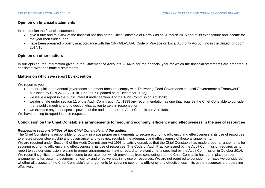# **Opinion on financial statements**

In our opinion the financial statements:

- give a true and fair view of the financial position of the Chief Constable of Norfolk as at 31 March 2015 and of its expenditure and income for the year then ended; and
- have been prepared properly in accordance with the CIPFA/LASAAC Code of Practice on Local Authority Accounting in the United Kingdom 2014/15.

# **Opinion on other matters**

In our opinion, the information given in the Statement of Accounts 2014/15 for the financial year for which the financial statements are prepared is consistent with the financial statements.

# **Matters on which we report by exception**

We report to you if:

- in our opinion the annual governance statement does not comply with 'Delivering Good Governance in Local Government: a Framework' published by CIPFA/SOLACE in June 2007 (updated as at December 2012);
- we issue a report in the public interest under section 8 of the Audit Commission Act 1998;
- we designate under section 11 of the Audit Commission Act 1998 any recommendation as one that requires the Chief Constable to consider it at a public meeting and to decide what action to take in response; or
- we exercise any other special powers of the auditor under the Audit Commission Act 1998.

We have nothing to report in these respects.

# **Conclusion on the Chief Constable's arrangements for securing economy, efficiency and effectiveness in the use of resources**

#### *Respective responsibilities of the Chief Constable and the auditor*

The Chief Constable is responsible for putting in place proper arrangements to secure economy, efficiency and effectiveness in its use of resources, to ensure proper stewardship and governance, and to review regularly the adequacy and effectiveness of these arrangements. We are required under Section 5 of the Audit Commission Act 1998 to satisfy ourselves that the Chief Constable has made proper arrangements for securing economy, efficiency and effectiveness in its use of resources. The Code of Audit Practice issued by the Audit Commission requires us to report to you our conclusion relating to proper arrangements, having regard to relevant criteria specified by the Audit Commission in October 2014. We report if significant matters have come to our attention which prevent us from concluding that the Chief Constable has put in place proper arrangements for securing economy, efficiency and effectiveness in its use of resources. We are not required to consider, nor have we considered, whether all aspects of the Chief Constable's arrangements for securing economy, efficiency and effectiveness in its use of resources are operating effectively.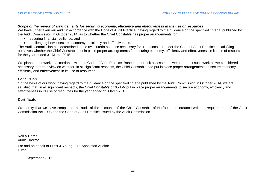#### *Scope of the review of arrangements for securing economy, efficiency and effectiveness in the use of resources*

We have undertaken our audit in accordance with the Code of Audit Practice, having regard to the guidance on the specified criteria, published by the Audit Commission in October 2014, as to whether the Chief Constable has proper arrangements for:

- securing financial resilience; and
- challenging how it secures economy, efficiency and effectiveness.

The Audit Commission has determined these two criteria as those necessary for us to consider under the Code of Audit Practice in satisfying ourselves whether the Chief Constable put in place proper arrangements for securing economy, efficiency and effectiveness in its use of resources for the year ended 31 March 2015.

We planned our work in accordance with the Code of Audit Practice. Based on our risk assessment, we undertook such work as we considered necessary to form a view on whether, in all significant respects, the Chief Constable had put in place proper arrangements to secure economy, efficiency and effectiveness in its use of resources.

#### *Conclusion*

On the basis of our work, having regard to the guidance on the specified criteria published by the Audit Commission in October 2014, we are satisfied that, in all significant respects, *the Chief Constable of Norfolk* put in place proper arrangements to secure economy, efficiency and effectiveness in its use of resources for the year ended 31 March 2015.

#### **Certificate**

We certify that we have completed the audit of the accounts of the Chief Constable of Norfolk in accordance with the requirements of the Audit Commission Act 1998 and the Code of Audit Practice issued by the Audit Commission.

Neil A Harris Audit Director

For and on behalf of Ernst & Young LLP, Appointed Auditor **Luton** 

September 2015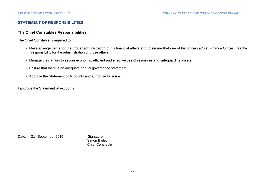# **STATEMENT OF RESPONSIBILITIES**

# **The Chief Constables Responsibilities**

The Chief Constable is required to:

- Make arrangements for the proper administration of his financial affairs and to secure that one of his officers (Chief Finance Officer) has the responsibility for the administration of those affairs;
- Manage their affairs to secure economic, efficient and effective use of resources and safeguard its assets;
- Ensure that there is an adequate annual governance statement;
- Approve the Statement of Accounts and authorise for issue.

I approve the Statement of Accounts

Date: 21<sup>st</sup> September 2015 Signature:

 Simon Bailey Chief Constable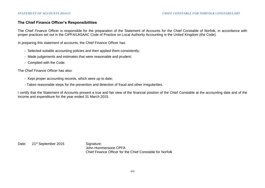# **The Chief Finance Officer's Responsibilities**

The Chief Finance Officer is responsible for the preparation of the Statement of Accounts for the Chief Constable of Norfolk, in accordance with proper practices set out in the CIPFA/LASAAC Code of Practice on Local Authority Accounting in the United Kingdom (the Code).

In preparing this statement of accounts, the Chief Finance Officer has:

- Selected suitable accounting policies and then applied them consistently;
- Made judgements and estimates that were reasonable and prudent;
- Complied with the Code.

The Chief Finance Officer has also:

- Kept proper accounting records, which were up to date;
- Taken reasonable steps for the prevention and detection of fraud and other irregularities.

I certify that the Statement of Accounts present a true and fair view of the financial position of the Chief Constable at the accounting date and of the income and expenditure for the year ended 31 March 2015.

Date: 21<sup>st</sup> September 2015 Signature: John Hummersone CPFA Chief Finance Officer for the Chief Constable for Norfolk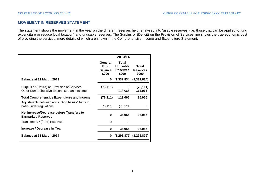# **MOVEMENT IN RESERVES STATEMENT**

The statement shows the movement in the year on the different reserves held, analysed into 'usable reserves' (i.e. those that can be applied to fund expenditure or reduce local taxation) and unusable reserves. The Surplus or (Deficit) on the Provision of Services line shows the true economic cost of providing the services, more details of which are shown in the Comprehensive Income and Expenditure Statement.

|                                                                                                     |                                                  | 2013/14                                      |                                  |
|-----------------------------------------------------------------------------------------------------|--------------------------------------------------|----------------------------------------------|----------------------------------|
|                                                                                                     | General<br><b>Fund</b><br><b>Balance</b><br>£000 | Total<br>Unusable<br><b>Reserves</b><br>£000 | Total<br><b>Reserves</b><br>£000 |
| Balance at 31 March 2013                                                                            | 0                                                |                                              | $(1,332,834)$ $(1,332,834)$      |
| Surplus or (Deficit) on Provision of Services<br>Other Comprehensive Expenditure and Income         | (76, 111)                                        | 0<br>113,066                                 | (76, 111)<br>113,066             |
| <b>Total Comprehensive Expenditure and Income</b><br>Adjustments between accounting basis & funding | (76, 111)                                        | 113,066                                      | 36,955                           |
| basis under regulations                                                                             | 76,111                                           | (76, 111)                                    | o                                |
| Net Increase/Decrease before Transfers to<br><b>Earmarked Reserves</b>                              | 0                                                | 36,955                                       | 36,955                           |
| Transfers to / (from) Reserves                                                                      | 0                                                | 0                                            | O                                |
| Increase / Decrease in Year                                                                         | 0                                                | 36,955                                       | 36,955                           |
| Balance at 31 March 2014                                                                            | 0                                                |                                              | $(1,295,879)$ $(1,295,879)$      |
|                                                                                                     |                                                  |                                              |                                  |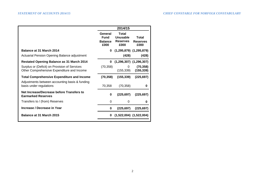|                                                                                             | 2014/15                                          |                                              |                                  |
|---------------------------------------------------------------------------------------------|--------------------------------------------------|----------------------------------------------|----------------------------------|
|                                                                                             | General<br><b>Fund</b><br><b>Balance</b><br>£000 | Total<br>Unusable<br><b>Reserves</b><br>£000 | Total<br><b>Reserves</b><br>£000 |
| Balance at 31 March 2014                                                                    | 0                                                | $(1,295,879)$ $(1,295,879)$                  |                                  |
| Actuarial Pension Opening Balance adjustment                                                |                                                  | (428)                                        | (428)                            |
| Restated Opening Balance as 31 March 2014                                                   | 0                                                |                                              | $(1,296,307)$ $(1,296,307)$      |
| Surplus or (Deficit) on Provision of Services<br>Other Comprehensive Expenditure and Income | (70, 358)                                        | 0<br>(155, 339)                              | (70, 358)<br>(155, 339)          |
| <b>Total Comprehensive Expenditure and Income</b>                                           | (70, 358)                                        | (155, 339)                                   | (225, 697)                       |
| Adjustments between accounting basis & funding<br>basis under regulations                   | 70,358                                           | (70, 358)                                    | 0                                |
| Net Increase/Decrease before Transfers to<br><b>Earmarked Reserves</b>                      | 0                                                | (225, 697)                                   | (225, 697)                       |
| Transfers to / (from) Reserves                                                              | 0                                                | 0                                            | 0                                |
| Increase / Decrease in Year                                                                 | 0                                                | (225, 697)                                   | (225, 697)                       |
| Balance at 31 March 2015                                                                    | 0                                                |                                              | $(1,522,004)$ $(1,522,004)$      |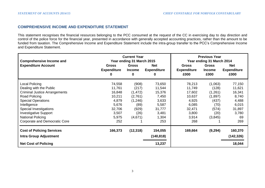# **COMPREHENSIVE INCOME AND EXPENDITURE STATEMENT**

This statement recognises the financial resources belonging to the PCC consumed at the request of the CC in exercising day to day direction and control of the police force for the financial year, presented in accordance with generally accepted accounting practices, rather than the amount to be funded from taxation. The Comprehensive Income and Expenditure Statement include the intra-group transfer to the PCC's Comprehensive Income and Expenditure Statement.

| <b>Comprehensive Income and</b>  | <b>Current Year</b><br>Year ending 31 March 2015 | <b>Previous Year</b><br>Year ending 31 March 2014 |                                       |                                            |                                       |                                          |
|----------------------------------|--------------------------------------------------|---------------------------------------------------|---------------------------------------|--------------------------------------------|---------------------------------------|------------------------------------------|
| <b>Expenditure Account</b>       | <b>Gross</b><br><b>Expenditure</b><br>0          | <b>Gross</b><br><b>Income</b><br>0                | <b>Net</b><br><b>Expenditure</b><br>0 | <b>Gross</b><br><b>Expenditure</b><br>£000 | <b>Gross</b><br><b>Income</b><br>£000 | <b>Net</b><br><b>Expenditure</b><br>£000 |
| Local Policing                   | 74,558                                           | (908)                                             | 73,650                                | 78,213                                     | (1,063)                               | 77,150                                   |
| Dealing with the Public          | 11,761                                           | (217)                                             | 11,544                                | 11,749                                     | (128)                                 | 11,621                                   |
| Criminal Justice Arrangements    | 16,848                                           | (1, 472)                                          | 15,376                                | 17,602                                     | (1,261)                               | 16,341                                   |
| Road Policing                    | 10,211                                           | (2,761)                                           | 7,450                                 | 10,637                                     | (1,897)                               | 8,740                                    |
| <b>Special Operations</b>        | 4,879                                            | (1,246)                                           | 3,633                                 | 4,925                                      | (437)                                 | 4,488                                    |
| Intelligence                     | 5,676                                            | (89)                                              | 5,587                                 | 6,085                                      | (70)                                  | 6,015                                    |
| Special Investigations           | 32,706                                           | (929)                                             | 31,777                                | 32,471                                     | (574)                                 | 31,897                                   |
| <b>Investigative Support</b>     | 3,507                                            | (26)                                              | 3,481                                 | 3,800                                      | (20)                                  | 3,780                                    |
| National Policing                | 5,975                                            | (4,671)                                           | 1,304                                 | 3,914                                      | (3,845)                               | 69                                       |
| Corporate and Democratic Core    | 252                                              |                                                   | 253                                   | 268                                        |                                       | 269                                      |
| <b>Cost of Policing Services</b> | 166,373                                          | (12, 318)                                         | 154,055                               | 169,664                                    | (9,294)                               | 160,370                                  |
| <b>Intra Group Adjustment</b>    |                                                  |                                                   | (140, 818)                            |                                            |                                       | (142, 326)                               |
| <b>Net Cost of Policing</b>      |                                                  |                                                   | 13,237                                |                                            |                                       | 18,044                                   |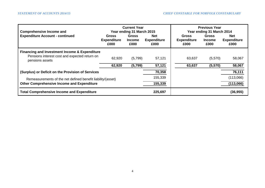| <b>Comprehensive Income and</b>                                  | <b>Current Year</b><br>Year ending 31 March 2015 |                                       |                                          | <b>Previous Year</b><br>Year ending 31 March 2014 |                                |                                          |
|------------------------------------------------------------------|--------------------------------------------------|---------------------------------------|------------------------------------------|---------------------------------------------------|--------------------------------|------------------------------------------|
| <b>Expenditure Account - continued</b>                           | <b>Gross</b><br><b>Expenditure</b><br>£000       | <b>Gross</b><br><b>Income</b><br>£000 | <b>Net</b><br><b>Expenditure</b><br>£000 | <b>Gross</b><br><b>Expenditure</b><br>£000        | Gross<br><b>Income</b><br>£000 | <b>Net</b><br><b>Expenditure</b><br>£000 |
| <b>Financing and Investment Income &amp; Expenditure</b>         |                                                  |                                       |                                          |                                                   |                                |                                          |
| Pensions interest cost and expected return on<br>pensions assets | 62,920                                           | (5,799)                               | 57,121                                   | 63,637                                            | (5,570)                        | 58,067                                   |
|                                                                  | 62,920                                           | (5,799)                               | 57,121                                   | 63,637                                            | (5,570)                        | 58,067                                   |
| (Surplus) or Deficit on the Provision of Services                |                                                  |                                       | 70,358                                   |                                                   |                                | 76,111                                   |
| Remeasurements of the net defined benefit liability/(asset)      |                                                  | 155,339                               |                                          |                                                   | (113,066)                      |                                          |
| <b>Other Comprehensive Income and Expenditure</b>                |                                                  |                                       | 155,339                                  |                                                   |                                | (113,066)                                |
| <b>Total Comprehensive Income and Expenditure</b>                |                                                  | 225,697                               |                                          |                                                   | (36, 955)                      |                                          |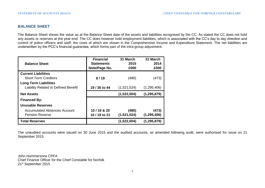# **BALANCE SHEET**

The Balance Sheet shows the value as at the Balance Sheet date of the assets and liabilities recognised by the CC. As stated the CC does not hold any assets or reserves at the year-end. The CC does however hold employment liabilities, which is associated with the CC's day to day direction and control of police officers and staff, the costs of which are shown in the Comprehensive Income and Expenditure Statement. The net liabilities are underwritten by the PCC's financial guarantee, which forms part of the intra-group adjustment.

| <b>Balance Sheet</b>                                                        | <b>Financial</b><br><b>Statements</b><br>Note/Page No. | 31 March<br>2015<br>£000 | 31 March<br>2014<br>£000 |
|-----------------------------------------------------------------------------|--------------------------------------------------------|--------------------------|--------------------------|
| <b>Current Liabilities</b><br><b>Short Term Creditors</b>                   | 8/19                                                   | (480)                    | (473)                    |
| <b>Long Term Liabilities</b><br><b>Liability Related to Defined Benefit</b> | 19 / 35 to 44                                          | (1,521,524)              | (1,295,406)              |
| <b>Net Assets</b>                                                           |                                                        | (1,522,004)              | (1, 295, 879)            |
| <b>Financed By:</b>                                                         |                                                        |                          |                          |
| Unusable Reserves<br>Accumulated Absences Account<br><b>Pension Reserve</b> | 10 / 19 & 20<br>10 / 19 to 21                          | (480)<br>(1,521,524)     | (473)<br>(1, 295, 406)   |
| <b>Total Reserves</b>                                                       |                                                        | (1,522,004)              | (1, 295, 879)            |

The unaudited accounts were issued on 30 June 2015 and the audited accounts, as amended following audit, were authorised for issue on 21 September 2015.

John Hummersone CPFA Chief Finance Officer for the Chief Constable for Norfolk 21st September 2015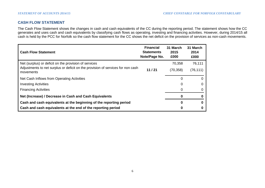# **CASH FLOW STATEMENT**

The Cash Flow Statement shows the changes in cash and cash equivalents of the CC during the reporting period. The statement shows how the CC generates and uses cash and cash equivalents by classifying cash flows as operating, investing and financing activities. However, during 2014/15 all cash is held by the PCC for Norfolk so the cash flow statement for the CC shows the net deficit on the provision of services as non-cash movements.

| <b>Cash Flow Statement</b>                                                                   | <b>Financial</b><br><b>Statements</b><br>Note/Page No. | 31 March<br>2015<br>£000 | 31 March<br>2014<br>£000 |
|----------------------------------------------------------------------------------------------|--------------------------------------------------------|--------------------------|--------------------------|
| Net (surplus) or deficit on the provision of services                                        |                                                        | 70,358                   | 76,111                   |
| Adjustments to net surplus or deficit on the provision of services for non cash<br>movements | 11/21                                                  | (70, 358)                | (76, 111)                |
| Net Cash Inflows from Operating Activities                                                   |                                                        |                          |                          |
| <b>Investing Activities</b>                                                                  |                                                        |                          |                          |
| <b>Financing Activities</b>                                                                  |                                                        |                          |                          |
| Net (Increase) / Decrease in Cash and Cash Equivalents                                       |                                                        |                          |                          |
| Cash and cash equivalents at the beginning of the reporting period                           |                                                        |                          |                          |
| Cash and cash equivalents at the end of the reporting period                                 |                                                        |                          |                          |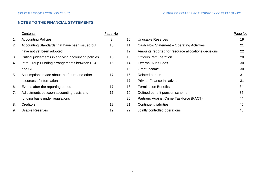# **NOTES TO THE FINANCIAL STATEMENTS**

|    | Contents                                            | Page No |     |                                                     | Page No |
|----|-----------------------------------------------------|---------|-----|-----------------------------------------------------|---------|
| 1. | <b>Accounting Policies</b>                          | 8       | 10. | Unusable Reserves                                   | 19      |
| 2. | Accounting Standards that have been issued but      | 15      | 11. | Cash Flow Statement - Operating Activities          | 21      |
|    | have not yet been adopted                           |         | 12. | Amounts reported for resource allocations decisions | 22      |
| 3. | Critical judgements in applying accounting policies | 15      | 13. | Officers' remuneration                              | 28      |
| 4. | Intra Group Funding arrangements between PCC        | 16      | 14. | <b>External Audit Fees</b>                          | 30      |
|    | and CC                                              |         | 15. | Grant Income                                        | 30      |
| 5. | Assumptions made about the future and other         | 17      | 16. | <b>Related parties</b>                              | 31      |
|    | sources of information                              |         | 17. | <b>Private Finance Initiatives</b>                  | 31      |
| 6. | Events after the reporting period                   | 17      | 18. | <b>Termination Benefits</b>                         | 34      |
| 7. | Adjustments between accounting basis and            | 17      | 19. | Defined benefit pension scheme                      | 35      |
|    | funding basis under regulations                     |         | 20. | Partners Against Crime Taskforce (PACT)             | 44      |
| 8. | <b>Creditors</b>                                    | 19      | 21. | <b>Contingent liabilities</b>                       | 45      |
| 9. | <b>Usable Reserves</b>                              | 19      | 22. | Jointly controlled operations                       | 46      |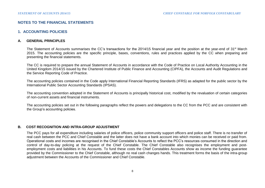# **NOTES TO THE FINANCIAL STATEMENTS**

## **1. ACCOUNTING POLICIES**

### **A. GENERAL PRINCIPLES**

The Statement of Accounts summarises the CC's transactions for the 2014/15 financial year and the position at the year-end of 31<sup>st</sup> March 2015. The accounting policies are the specific principle, bases, conventions, rules and practices applied by the CC when preparing and presenting the financial statements.

The CC is required to prepare the annual Statement of Accounts in accordance with the Code of Practice on Local Authority Accounting in the United Kingdom 2014/15 issued by the Chartered Institute of Public Finance and Accounting (CIPFA), the Accounts and Audit Regulations and the Service Reporting Code of Practice.

The accounting policies contained in the Code apply International Financial Reporting Standards (IFRS) as adapted for the public sector by the International Public Sector Accounting Standards (IPSAS).

The accounting convention adopted in the Statement of Accounts is principally historical cost, modified by the revaluation of certain categories of non-current assets and financial instruments.

The accounting policies set out in the following paragraphs reflect the powers and delegations to the CC from the PCC and are consistent with the Group's accounting policies.

#### **B. COST RECOGNITION AND INTRA-GROUP ADJUSTMENT**

The PCC pays for all expenditure including salaries of police officers, police community support officers and police staff. There is no transfer of real cash between the PCC and Chief Constable and the latter does not have a bank account into which monies can be received or paid from. Operational costs and incomes are recognised in the Chief Constable's Accounts to reflect the PCC's resources consumed in the direction and control of day-to-day policing at the request of the Chief Constable. The Chief Constable also recognises the employment and postemployment costs and liabilities in his Accounts. To fund these costs the Chief Constables Accounts show as income the funding guarantee provided by the Commissioner to the Chief Constable, although no real cash changes hands. This treatment forms the basis of the intra-group adjustment between the Accounts of the Commissioner and Chief Constable.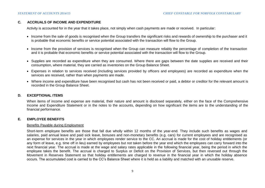## **C. ACCRUALS OF INCOME AND EXPENDITURE**

Activity is accounted for in the year that it takes place, not simply when cash payments are made or received. In particular:

- Income from the sale of goods is recognised when the Group transfers the significant risks and rewards of ownership to the purchaser and it is probable that economic benefits or service potential associated with the transaction will flow to the Group.
- Income from the provision of services is recognised when the Group can measure reliably the percentage of completion of the transaction and it is probable that economic benefits or service potential associated with the transaction will flow to the Group.
- Supplies are recorded as expenditure when they are consumed. Where there are gaps between the date supplies are received and their consumption, where material, they are carried as inventories on the Group Balance Sheet.
- Expenses in relation to services received (including services provided by officers and employees) are recorded as expenditure when the services are received, rather than when payments are made.
- Where income and expenditure have been recognised but cash has not been received or paid, a debtor or creditor for the relevant amount is recorded in the Group Balance Sheet.

## **D. EXCEPTIONAL ITEMS**

When items of income and expense are material, their nature and amount is disclosed separately, either on the face of the Comprehensive Income and Expenditure Statement or in the notes to the accounts, depending on how significant the items are to the understanding of the financial performance.

#### **E. EMPLOYEE BENEFITS**

#### Benefits Payable during Employment

Short-term employee benefits are those that fall due wholly within 12 months of the year-end. They include such benefits as wages and salaries, paid annual leave and paid sick leave, bonuses and non-monetary benefits (e.g. cars) for current employees and are recognised as an expense for services in the year in which employees render service to the CC. An accrual is made for the cost of holiday entitlements (or any form of leave, e.g. time off in lieu) earned by employees but not taken before the year end which the employees can carry forward into the next financial year. The accrual is made at the wage and salary rates applicable in the following financial year, being the period in which the employee takes the benefit. The accrual is charged to Surplus or Deficit on the Provision of Services, but then reversed out through the Movement in Reserves Statement so that holiday entitlements are charged to revenue in the financial year in which the holiday absence occurs. The accumulated cost is carried to the CC's Balance Sheet where it is held as a liability and matched with an unusable reserve.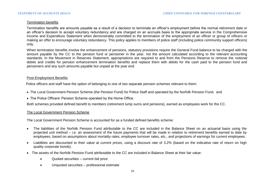## Termination benefits

Termination benefits are amounts payable as a result of a decision to terminate an officer's employment before the normal retirement date or an officer's decision to accept voluntary redundancy and are charged on an accruals basis to the appropriate service in the Comprehensive Income and Expenditure Statement when demonstrably committed to the termination of the employment of an officer or group of officers or making an offer to encourage voluntary redundancy. This policy applies to members of police staff (including police community support officers) only.

When termination benefits involve the enhancement of pensions, statutory provisions require the General Fund balance to be charged with the amount payable by the CC to the pension fund or pensioner in the year, not the amount calculated according to the relevant accounting standards. In the Movement in Reserves Statement, appropriations are required to and from the Pensions Reserve to remove the notional debits and credits for pension enhancement termination benefits and replace them with debits for the cash paid to the pension fund and pensioners and any such amounts payable but unpaid at the year end.

#### Post-Employment Benefits

Police officers and staff have the option of belonging to one of two separate pension schemes relevant to them:

- The Local Government Pension Scheme (the Pension Fund) for Police Staff and operated by the Norfolk Pension Fund; and
- The Police Officers' Pension Scheme operated by the Home Office.

Both schemes provided defined benefit to members (retirement lump sums and pensions), earned as employees work for the CC.

# The Local Government Pension Scheme

The Local Government Pension Scheme is accounted for as a funded defined benefits scheme:

- The liabilities of the Norfolk Pension Fund attributable to the CC are included in the Balance Sheet on an actuarial basis using the projected unit method – i.e. an assessment of the future payments that will be made in relation to retirement benefits earned to date by employees, based on assumptions about mortality rates, employee turnover rates, etc., and projections of earnings for current employees.
- Liabilities are discounted to their value at current prices, using a discount rate of 3.2% (based on the indicative rate of return on high quality corporate bonds).
- The assets of the Norfolk Pension Fund attributable to the CC are included in Balance Sheet at their fair value:
	- Quoted securities current bid price
	- Unquoted securities professional estimate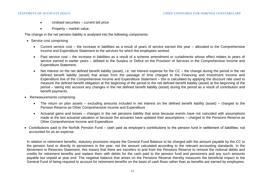- Unitised securities current bid price
- Property market value.

The change in the net pension liability is analysed into the following components:

- Service cost comprising:
	- Current service cost the increase in liabilities as a result of years of service earned this year allocated to the Comprehensive Income and Expenditure Statement to the services for which the employees worked.
	- Past service cost the increase in liabilities as a result of a scheme amendment or curtailments whose effect relates to years of service earned in earlier years – debited to the Surplus or Deficit on the Provision of Services in the Comprehensive Income and Expenditure Statement.
	- Net interest on the net defined benefit liability (asset), i.e. net interest expense for the CC the change during the period in the net defined benefit liability (asset) that arises from the passage of time charged to the Financing and Investment Income and Expenditure line of the Comprehensive Income and Expenditure Statement – this is calculated by applying the discount rate used to measure the defined benefit obligation at the beginning of the period to the net defined benefit liability (asset) at the beginning of the period – taking into account any changes in the net defined benefit liability (asset) during the period as a result of contribution and benefit payments.
- Remeasurements comprising:
	- The return on plan assets excluding amounts included in net interest on the defined benefit liability (asset) charged to the Pension Reserve as Other Comprehensive Income and Expenditure
	- Actuarial gains and losses changes in the net pensions liability that arise because events have not coincided with assumptions made at the last actuarial valuation or because the actuaries have updated their assumptions – charged to the Pensions Reserve as Other Comprehensive Income and Expenditure
- Contributions paid to the Norfolk Pension Fund cash paid as employer's contributions to the pension fund in settlement of liabilities; not accounted for as an expense.

In relation to retirement benefits, statutory provisions require the General Fund Balance to be charged with the amount payable by the CC to the pension fund or directly to pensioners in the year, not the amount calculated according to the relevant accounting standards. In the Movement in Reserves Statement, this means that there are transfers to and from the Pensions Reserve to remove the notional debits and credits for retirement benefits and replace them with debits for the cash paid to the pension fund and pensioners and any such amounts payable but unpaid at year end. The negative balance that arises on the Pensions Reserve thereby measures the beneficial impact to the General Fund of being required to account for retirement benefits on the basis of cash flows rather than as benefits are earned by employees.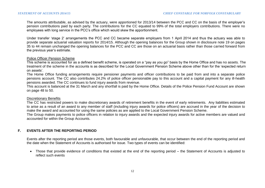The amounts attributable, as advised by the actuary, were apportioned for 2013/14 between the PCC and CC on the basis of the employer's pension contributions paid by each party. The contributions for the CC equated to 99% of the total employers contributions. There were no employees with long service in the PCC's office which would skew the apportionment.

Under transfer 'stage 2' arrangements the PCC and CC became separate employers from 1 April 2014 and thus the actuary was able to provide separate actuarial valuation reports for 2014/15. Although the opening balances for the Group shown in disclosure note 19 on pages 35 to 44 remain unchanged the opening balances for the PCC and CC are those on an actuarial basis rather than those carried forward from the previous year's estimate.

#### Police Officer Pension Scheme

This scheme is accounted for as a defined benefit scheme, is operated on a "pay as you go" basis by the Home Office and has no assets. The treatment of the scheme in the accounts is as described for the Local Government Pension Scheme above other than for the 'expected return on assets'.

The Home Office funding arrangements require pensioner payments and officer contributions to be paid from and into a separate police pensions account. The CC also contributes 24.2% of police officer pensionable pay to this account and a capital payment for any ill-health pensions awarded. The CC continues to fund injury awards from revenue.

This account is balanced at the 31 March and any shortfall is paid by the Home Office. Details of the Police Pension Fund Account are shown on page 48 to 50.

#### Discretionary Benefits

The CC has restricted powers to make discretionary awards of retirement benefits in the event of early retirements. Any liabilities estimated to arise as a result of an award to any member of staff (including injury awards for police officers) are accrued in the year of the decision to make the award and accounted for using the same policies as are applied to the Local Government Pension Scheme.

The Group makes payments to police officers in relation to injury awards and the expected injury awards for active members are valued and accounted for within the Group Accounts.

# **F. EVENTS AFTER THE REPORTING PERIOD**

Events after the reporting period are those events, both favourable and unfavourable, that occur between the end of the reporting period and the date when the Statement of Accounts is authorised for issue. Two types of events can be identified:

 Those that provide evidence of conditions that existed at the end of the reporting period – the Statement of Accounts is adjusted to reflect such events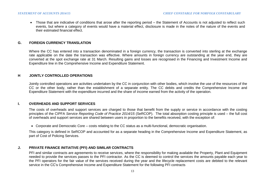Those that are indicative of conditions that arose after the reporting period – the Statement of Accounts is not adjusted to reflect such events, but where a category of events would have a material effect, disclosure is made in the notes of the nature of the events and their estimated financial effect.

#### **G. FOREIGN CURRENCY TRANSLATION**

Where the CC has entered into a transaction denominated in a foreign currency, the transaction is converted into sterling at the exchange rate applicable on the date the transaction was effective. Where amounts in foreign currency are outstanding at the year end, they are converted at the spot exchange rate at 31 March. Resulting gains and losses are recognised in the Financing and Investment Income and Expenditure line in the Comprehensive Income and Expenditure Statement.

#### **H JOINTLY CONTROLLED OPERATIONS**

Jointly controlled operations are activities undertaken by the CC in conjunction with other bodies, which involve the use of the resources of the CC or the other body, rather than the establishment of a separate entity. The CC debits and credits the Comprehensive Income and Expenditure Statement with the expenditure incurred and the share of income earned from the activity of the operation.

#### **I. OVERHEADS AND SUPPORT SERVICES**

The costs of overheads and support services are charged to those that benefit from the supply or service in accordance with the costing principles of the CIPFA *Service Reporting Code of Practice 2014/15* (SeRCOP). The total absorption costing principle is used – the full cost of overheads and support services are shared between users in proportion to the benefits received, with the exception of:

Corporate and Democratic Core – costs relating to the CC status as a multi-functional, democratic organisation.

This category is defined in SeRCOP and accounted for as a separate heading in the Comprehensive Income and Expenditure Statement, as part of Cost of Policing Services.

#### **J. PRIVATE FINANCE INITIATIVE (PFI) AND SIMILAR CONTRACTS**

PFI and similar contracts are agreements to receive services, where the responsibility for making available the Property, Plant and Equipment needed to provide the services passes to the PFI contractor. As the CC is deemed to control the services the amounts payable each year to the PFI operators for the fair value of the services received during the year and the lifecycle replacement costs are debited to the relevant service in the CC's Comprehensive Income and Expenditure Statement for the following PFI contracts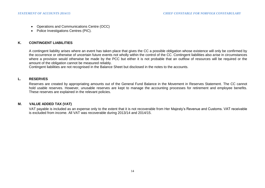- Operations and Communications Centre (OCC)
- Police Investigations Centres (PIC).

## **K. CONTINGENT LIABILITIES**

A contingent liability arises where an event has taken place that gives the CC a possible obligation whose existence will only be confirmed by the occurrence or otherwise of uncertain future events not wholly within the control of the CC. Contingent liabilities also arise in circumstances where a provision would otherwise be made by the PCC but either it is not probable that an outflow of resources will be required or the amount of the obligation cannot be measured reliably.

Contingent liabilities are not recognised in the Balance Sheet but disclosed in the notes to the accounts.

# **L. RESERVES**

Reserves are created by appropriating amounts out of the General Fund Balance in the Movement in Reserves Statement. The CC cannot hold usable reserves. However, unusable reserves are kept to manage the accounting processes for retirement and employee benefits. These reserves are explained in the relevant policies.

#### **M. VALUE ADDED TAX (VAT)**

VAT payable is included as an expense only to the extent that it is not recoverable from Her Majesty's Revenue and Customs. VAT receivable is excluded from income. All VAT was recoverable during 2013/14 and 2014/15.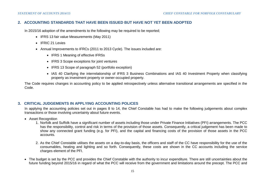# **2. ACCOUNTING STANDARDS THAT HAVE BEEN ISSUED BUT HAVE NOT YET BEEN ADOPTED**

In 2015/16 adoption of the amendments to the following may be required to be reported:

- IFRS 13 fair value Measurements (May 2011)
- IFRIC 21 Levies
- Annual Improvements to IFRCs (2011 to 2013 Cycle). The issues included are:
	- IFRS 1 Meaning of effective IFRSs
	- IFRS 3 Scope exceptions for joint ventures
	- IFRS 13 Scope of paragraph 52 (portfolio exception)
	- IAS 40 Clarifying the interrelationship of IFRS 3 Business Combinations and IAS 40 Investment Property when classifying property as investment property or owner-occupied property.

The Code requires changes in accounting policy to be applied retrospectively unless alternative transitional arrangements are specified in the Code.

# **3. CRITICAL JUDGEMENTS IN APPLYING ACCOUNTING POLICES**

In applying the accounting policies set out in pages 8 to 14, the Chief Constable has had to make the following judgements about complex transactions or those involving uncertainty about future events.

- Asset Recognition
	- 1. Norfolk and Suffolk have a significant number of assets including those under Private Finance Initiatives (PFI) arrangements. The PCC has the responsibility, control and risk in terms of the provision of those assets. Consequently, a critical judgement has been made to show any connected grant funding (e.g. for PFI), and the capital and financing costs of the provision of those assets in the PCC accounts.
	- 2. As the Chief Constable utilises the assets on a day-to-day basis, the officers and staff of the CC have responsibility for the use of the consumables, heating and lighting and so forth. Consequently, these costs are shown in the CC accounts including the service charges element of the PFI.
- The budget is set by the PCC and provides the Chief Constable with the authority to incur expenditure. There are still uncertainties about the future funding beyond 2015/16 in regard of what the PCC will receive from the government and limitations around the precept. The PCC and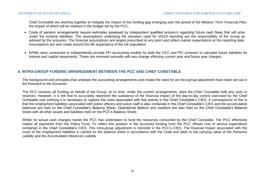Chief Constable are working together to mitigate the impact of the funding gap emerging over the period of the Medium Term Financial Plan, the impact of which will be realised in the budget set by the PCC.

- Costs of pension arrangements require estimates assessed by independent qualified actuary's regarding future cash flows that will arise under the scheme liabilities. The assumptions underlying the valuation used for IAS19 reporting are the responsibility of the Group as advised by the actuaries. The financial assumptions are largely prescribed at any point and reflect market expectations at the reporting date. Assumptions are also made around the life expectancy of the UK population.
- KPMG were contracted to independently provide PFI accounting models for both the OCC and PIC schemes to calculate future liabilities for interest and capital repayments. These are reviewed annually with any change effecting current year and future year charges.

# **4. INTRA-GROUP FUNDING ARRANGEMENT BETWEEN THE PCC AND CHIEF CONSTABLE**

The background and principles that underpin the accounting arrangements and create the need for an intra-group adjustment have been set out in the foreword to the Accounts.

The PCC receives all funding on behalf of the Group; at no time, under the current arrangements, does the Chief Constable hold any cash or reserves. However, it is felt that to accurately represent the substance of the financial impact of the day-to-day control exercised by the Chief Constable over policing it is necessary to capture the costs associated with this activity in the Chief Constable's CIES. A consequence of this is that the employment liabilities associated with police officers and police staff is also contained in the Chief Constable's CIES and the accumulative balances are held on the Chief Constable's Balance Sheet. Operational debtors and creditors are also held on the Chief Constable's Balance Sheet with all other assets and liabilities held on the PCC's Balance Sheet.

Whilst no actual cash changes hands the PCC has undertaken to fund the resources consumed by the Chief Constable. The PCC effectively makes all payments from the Police Fund. To reflect this position in the Accounts funding from the PCC offsets cost of service expenditure contained in the Chief Constable's CIES. This intra-group adjustment is mirrored in the PCC's CIES. The financial impact associated with the costs of the employment liabilities is carried on the balance sheet in accordance with the Code and adds to the carrying value of the Pensions Liability and the Accumulated Absences Liability.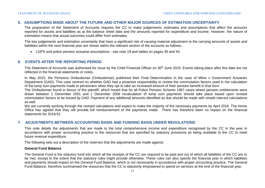# **5. ASSUMPTIONS MADE ABOUT THE FUTURE AND OTHER MAJOR SOURCES OF ESTIMATION UNCERTAINTY**

The preparation of the Statement of Accounts requires the CC to make judgements, estimates and assumptions that affect the amounts reported for assets and liabilities as at the balance sheet date and the amounts reported for expenditure and income. However, the nature of estimation means that actual outcomes could differ from estimates.

The key judgements and estimation uncertainty that have a significant risk of causing material adjustment to the carrying amounts of assets and liabilities within the next financial year are shown within the relevant section of the accounts as follows;.

LGPS and police pension actuarial assumptions - see note 19 and tables on pages 35 and 44.

## **6. EVENTS AFTER THE REPORTING PERIOD**

The Statement of Accounts was authorised for issue by the Chief Financial Officer on 30<sup>th</sup> June 2015. Events taking place after this date are not reflected in the financial statements or notes.

In May 2015, the Pensions Ombudsman (Ombudsman) published their Final Determination in the case of Milne v Government Actuaries Department (GAD). This case centred on whether GAD had a proactive responsibility to review the commutation factors used in the calculation of the lump sum payments made to pensioners when they opt to take an increased amount of their pension benefit in that form.

The Ombudsman found in favour of the plaintiff, which meant that for all Police Pension Scheme 1987 cases where pension entitlements were drawn between 1 December 2001 and 1 December 2006 recalculation of lump sum payments should take place based upon revised commutation factors to be issued by GAD. Payment of any additional amounts identified as due should be made with simple interest calculations as well.

We are currently working through the revised calculations and expect to make the majority of the necessary payments by April 2016. The Home Office has agreed that they will provide full reimbursement of the payments made. There has therefore been no impact on the financial statements for 2014/15.

# **7. ADJUSTMENTS BETWEEN ACCOUNTING BASIS AND FUNDING BASIS UNDER REGULATIONS**

This note details the adjustments that are made to the total comprehensive income and expenditure recognised by the CC in the year in accordance with proper accounting practice to the resources that are specified by statutory provisions as being available to the CC to meet future revenue expenditure.

The following sets out a description of the reserves that the adjustments are made against.

#### **General Fund Balance**

The General Fund is the statutory fund into which all the receipts of the CC are required to be paid and out of which all liabilities of the CC are to be met, except to the extent that the statutory rules might provide otherwise. These rules can also specify the financial year in which liabilities and payments should impact on the General Fund Balance, which is not necessarily in accordance with proper accounting practice. The General Fund Balance, therefore summarised the resources that the CC is statutorily empowered to spend on services at the end of the financial year.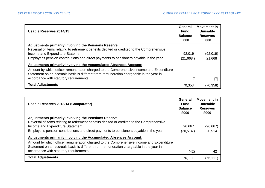| Usable Reserves 2014/15                                                                                                                                                             | General<br><b>Fund</b><br><b>Balance</b><br>£000 | <b>Movement in</b><br>Unusable<br><b>Reserves</b><br>£000 |
|-------------------------------------------------------------------------------------------------------------------------------------------------------------------------------------|--------------------------------------------------|-----------------------------------------------------------|
| <b>Adjustments primarily involving the Pensions Reserve:</b>                                                                                                                        |                                                  |                                                           |
| Reversal of items relating to retirement benefits debited or credited to the Comprehensive                                                                                          |                                                  |                                                           |
| Income and Expenditure Statement                                                                                                                                                    | 92,019                                           | (92,019)                                                  |
| Employer's pension contributions and direct payments to pensioners payable in the year                                                                                              | (21,668)                                         | 21,668                                                    |
| Adjustments primarily involving the Accumulated Absences Account:                                                                                                                   |                                                  |                                                           |
| Amount by which officer remuneration charged to the Comprehensive income and Expenditure<br>Statement on an accruals basis is different from remuneration chargeable in the year in |                                                  |                                                           |
| accordance with statutory requirements                                                                                                                                              | 7                                                | (7)                                                       |
| <b>Total Adjustments</b>                                                                                                                                                            | 70,358                                           | (70,358)                                                  |

| Usable Reserves 2013/14 (Comparator)                                                                                                                                                | General<br>Fund<br><b>Balance</b><br>£000 | <b>Movement in</b><br>Unusable<br><b>Reserves</b><br>£000 |
|-------------------------------------------------------------------------------------------------------------------------------------------------------------------------------------|-------------------------------------------|-----------------------------------------------------------|
| <b>Adjustments primarily involving the Pensions Reserve:</b>                                                                                                                        |                                           |                                                           |
| Reversal of items relating to retirement benefits debited or credited to the Comprehensive                                                                                          |                                           |                                                           |
| Income and Expenditure Statement                                                                                                                                                    | 96,667                                    | (96, 667)                                                 |
| Employer's pension contributions and direct payments to pensioners payable in the year                                                                                              | (20, 514)                                 | 20,514                                                    |
| Adjustments primarily involving the Accumulated Absences Account:                                                                                                                   |                                           |                                                           |
| Amount by which officer remuneration charged to the Comprehensive income and Expenditure<br>Statement on an accruals basis is different from remuneration chargeable in the year in |                                           |                                                           |
| accordance with statutory requirements                                                                                                                                              | (42)                                      | 42                                                        |
| <b>Total Adjustments</b>                                                                                                                                                            | 76,111                                    | (76, 111)                                                 |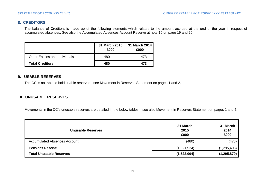# **8. CREDITORS**

The balance of Creditors is made up of the following elements which relates to the amount accrued at the end of the year in respect of accumulated absences. See also the Accumulated Absences Account Reserve at note 10 on page 19 and 20.

|                                       | 31 March 2015<br>£000 | 31 March 2014<br>£000 |
|---------------------------------------|-----------------------|-----------------------|
| <b>Other Entities and Individuals</b> | 480                   | 473                   |
| <b>Total Creditors</b>                | 480                   | 473                   |

# **9. USABLE RESERVES**

The CC is not able to hold usable reserves - see Movement in Reserves Statement on pages 1 and 2.

# **10. UNUSABLE RESERVES**

Movements in the CC's unusable reserves are detailed in the below tables – see also Movement in Reserves Statement on pages 1 and 2;

| <b>Unusable Reserves</b>            | 31 March<br>2015<br>£000 | 31 March<br>2014<br>£000 |
|-------------------------------------|--------------------------|--------------------------|
| <b>Accumulated Absences Account</b> | (480)                    | (473)                    |
| <b>Pensions Reserve</b>             | (1,521,524)              | (1, 295, 406)            |
| <b>Total Unusable Reserves</b>      | (1,522,004)              | (1, 295, 879)            |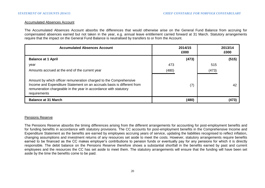#### Accumulated Absences Account

The Accumulated Absences Account absorbs the differences that would otherwise arise on the General Fund Balance from accruing for compensated absences earned but not taken in the year, e.g. annual leave entitlement carried forward at 31 March. Statutory arrangements require that the impact on the General Fund Balance is neutralised by transfers to or from the Account.

| <b>Accumulated Absences Account</b>                                                                                                                                                                                              | 2014/15<br>£000 | 2013/14<br>£000 |
|----------------------------------------------------------------------------------------------------------------------------------------------------------------------------------------------------------------------------------|-----------------|-----------------|
| <b>Balance at 1 April</b>                                                                                                                                                                                                        | (473)           | (515)           |
| year                                                                                                                                                                                                                             | 473             | 515             |
| Amounts accrued at the end of the current year                                                                                                                                                                                   | (480)           | (473)           |
| Amount by which officer remuneration charged to the Comprehensive<br>Income and Expenditure Statement on an accruals basis is different from<br>remuneration chargeable in the year in accordance with statutory<br>requirements | (7)             | 42              |
| <b>Balance at 31 March</b>                                                                                                                                                                                                       | (480)           | (473)           |

# Pensions Reserve

The Pensions Reserve absorbs the timing differences arising from the different arrangements for accounting for post-employment benefits and for funding benefits in accordance with statutory provisions. The CC accounts for post-employment benefits in the Comprehensive Income and Expenditure Statement as the benefits are earned by employees accruing years of service, updating the liabilities recognised to reflect inflation, changing assumptions and investment returns of any resources set aside to meet the costs. However, statutory arrangements require benefits earned to be financed as the CC makes employer's contributions to pension funds or eventually pay for any pensions for which it is directly responsible. The debit balance on the Pensions Reserve therefore shows a substantial shortfall in the benefits earned by past and current employees and the resources the CC has set aside to meet them. The statutory arrangements will ensure that the funding will have been set aside by the time the benefits come to be paid.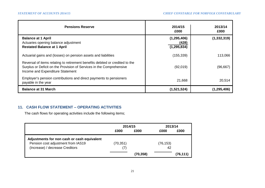| <b>Pensions Reserve</b>                                                                                                                                                                  | 2014/15<br>£000                         | 2013/14<br>£000 |
|------------------------------------------------------------------------------------------------------------------------------------------------------------------------------------------|-----------------------------------------|-----------------|
| <b>Balance at 1 April</b><br>Actuaries opening balance adjustment<br><b>Restated Balance at 1 April</b>                                                                                  | (1, 295, 406)<br>(428)<br>(1, 295, 834) | (1, 332, 319)   |
| Actuarial gains and (losses) on pension assets and liabilities                                                                                                                           | (155, 339)                              | 113,066         |
| Reversal of items relating to retirement benefits debited or credited to the<br>Surplus or Deficit on the Provision of Services in the Comprehensive<br>Income and Expenditure Statement | (92,019)                                | (96, 667)       |
| Employer's pension contributions and direct payments to pensioners<br>payable in the year                                                                                                | 21,668                                  | 20,514          |
| <b>Balance at 31 March</b>                                                                                                                                                               | (1,521,524)                             | (1, 295, 406)   |

# **11. CASH FLOW STATEMENT – OPERATING ACTIVITIES**

The cash flows for operating activities include the following items;

|                                             | 2014/15   |           | 2013/14   |          |  |
|---------------------------------------------|-----------|-----------|-----------|----------|--|
|                                             | £000      | £000      | £000      | £000     |  |
| Adjustments for non cash or cash equivalent |           |           |           |          |  |
| Pension cost adjustment from IAS19          | (70, 351) |           | (76, 153) |          |  |
| (Increase) / decrease Creditors             | (7)       |           | 42        |          |  |
|                                             |           | (70, 358) |           | (76,111) |  |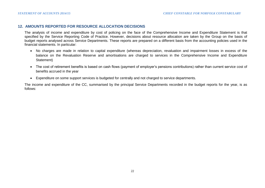### **12. AMOUNTS REPORTED FOR RESOURCE ALLOCATION DECISIONS**

The analysis of income and expenditure by cost of policing on the face of the Comprehensive Income and Expenditure Statement is that specified by the Service Reporting Code of Practice. However, decisions about resource allocation are taken by the Group on the basis of budget reports analysed across Service Departments. These reports are prepared on a different basis from the accounting policies used in the financial statements. In particular:

- No charges are made in relation to capital expenditure (whereas depreciation, revaluation and impairment losses in excess of the balance on the Revaluation Reserve and amortisations are charged to services in the Comprehensive Income and Expenditure Statement)
- The cost of retirement benefits is based on cash flows (payment of employer's pensions contributions) rather than current service cost of benefits accrued in the year
- Expenditure on some support services is budgeted for centrally and not charged to service departments.

The income and expenditure of the CC, summarised by the principal Service Departments recorded in the budget reports for the year, is as follows: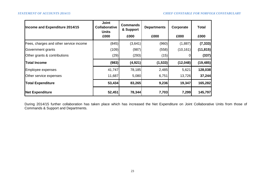| Income and Expenditure 2014/15         | <b>Joint</b><br><b>Collaborative</b><br><b>Units</b> | <b>Commands</b><br>& Support | <b>Departments</b> | Corporate | <b>Total</b> |
|----------------------------------------|------------------------------------------------------|------------------------------|--------------------|-----------|--------------|
|                                        | £000                                                 | £000                         | £000               | £000      | £000         |
| Fees, charges and other service income | (845)                                                | (3,641)                      | (960)              | (1,887)   | (7, 333)     |
| Government grants                      | (109)                                                | (987)                        | (558)              | (10, 161) | (11, 815)    |
| Other grants & contributions           | (29)                                                 | (293)                        | (15)               |           | (337)        |
| Total Income                           | (983)                                                | (4, 921)                     | (1, 533)           | (12,048)  | (19, 485)    |
| Employee expenses                      | 41,747                                               | 78,185                       | 2,485              | 5,621     | 128,038      |
| Other service expenses                 | 11,687                                               | 5,080                        | 6,751              | 13,726    | 37,244       |
| <b>Total Expenditure</b>               | 53,434                                               | 83,265                       | 9,236              | 19,347    | 165,282      |
| <b>Net Expenditure</b>                 | 52,451                                               | 78,344                       | 7,703              | 7,299     | 145,797      |

During 2014/15 further collaboration has taken place which has increased the Net Expenditure on Joint Collaborative Units from those of Commands & Support and Departments.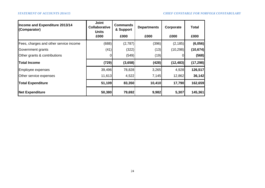| Income and Expenditure 2013/14<br>(Comparator) | <b>Joint</b><br><b>Collaborative</b><br><b>Units</b> | <b>Commands</b><br>& Support | <b>Departments</b> | Corporate | <b>Total</b> |  |
|------------------------------------------------|------------------------------------------------------|------------------------------|--------------------|-----------|--------------|--|
|                                                | £000                                                 | £000                         | £000               | £000      | £000         |  |
| Fees, charges and other service income         | (688)                                                | (2,787)                      | (396)              | (2, 185)  | (6,056)      |  |
| Government grants                              | (41)                                                 | (322)                        | (13)               | (10, 298) | (10, 674)    |  |
| Other grants & contributions                   | 0                                                    | (549)                        | (19)               | 0         | (568)        |  |
| <b>Total Income</b>                            | (729)                                                | (3,658)                      | (428)              | (12, 483) | (17, 298)    |  |
| Employee expenses                              | 39,496                                               | 78,828                       | 3,265              | 4,928     | 126,517      |  |
| Other service expenses                         | 11,613                                               | 4,522                        | 7,145              | 12,862    | 36,142       |  |
| <b>Total Expenditure</b>                       | 51,109                                               | 83,350                       | 10,410             | 17,790    | 162,659      |  |
| Net Expenditure                                | 50,380                                               | 79,692                       | 9,982              | 5,307     | 145,361      |  |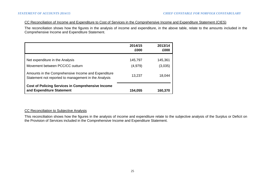## CC Reconciliation of Income and Expenditure to Cost of Services in the Comprehensive Income and Expenditure Statement (CIES)

The reconciliation shows how the figures in the analysis of income and expenditure, in the above table, relate to the amounts included in the Comprehensive Income and Expenditure Statement.

|                                                                                                             | 2014/15<br>£000     | 2013/14<br>£000    |
|-------------------------------------------------------------------------------------------------------------|---------------------|--------------------|
| Net expenditure in the Analysis<br>Movement between PCC/CC outturn                                          | 145,797<br>(4, 979) | 145,361<br>(3,035) |
| Amounts in the Comprehensive Income and Expenditure<br>Statement not reported to management in the Analysis | 13,237              | 18,044             |
| <b>Cost of Policing Services in Comprehensive Income</b><br>and Expenditure Statement                       | 154,055             | 160,370            |

# CC Reconciliation to Subjective Analysis

This reconciliation shows how the figures in the analysis of income and expenditure relate to the subjective analysis of the Surplus or Deficit on the Provision of Services included in the Comprehensive Income and Expenditure Statement.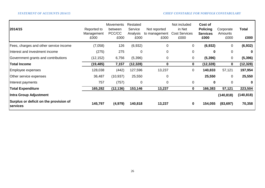| 2014/15                                                   | Reported to<br>Management<br>£000 | <b>Movements</b><br>between<br>PCC/CC<br>£000 | Restated<br>Service<br>Analysis<br>£000 | Not reported<br>to management<br>£000 | Not included<br>in Net<br><b>Cost Services</b><br>£000 | Cost of<br><b>Policing</b><br><b>Services</b><br>£000 | Corporate<br>Amounts<br>£000 | Total<br>£000 |
|-----------------------------------------------------------|-----------------------------------|-----------------------------------------------|-----------------------------------------|---------------------------------------|--------------------------------------------------------|-------------------------------------------------------|------------------------------|---------------|
| Fees, charges and other service income                    | (7,058)                           | 126                                           | (6,932)                                 | $\mathbf 0$                           | 0                                                      | (6, 932)                                              | 0                            | (6, 932)      |
| Interest and investment income                            | (275)                             | 275                                           | $\mathbf 0$                             | $\mathbf 0$                           | 0                                                      | $\bf{0}$                                              | 0                            | $\bf{0}$      |
| Government grants and contributions                       | (12, 152)                         | 6,756                                         | (5,396)                                 | $\pmb{0}$                             | 0                                                      | (5, 396)                                              | 0                            | (5, 396)      |
| <b>Total Income</b>                                       | (19,485)                          | 7,157                                         | (12, 328)                               | $\mathbf 0$                           | 0                                                      | (12, 328)                                             | 0                            | (12, 328)     |
| Employee expenses                                         | 128,038                           | (442)                                         | 127,596                                 | 13,237                                | 0                                                      | 140,833                                               | 57,121                       | 197,954       |
| Other service expenses                                    | 36,487                            | (10, 937)                                     | 25,550                                  | $\mathbf 0$                           |                                                        | 25,550                                                | 0                            | 25,550        |
| Interest payments                                         | 757                               | (757)                                         | 0                                       | 0                                     | 0                                                      | 0                                                     | 0                            | $\mathbf 0$   |
| <b>Total Expenditure</b>                                  | 165,282                           | (12, 136)                                     | 153,146                                 | 13,237                                | 0                                                      | 166,383                                               | 57,121                       | 223,504       |
| Intra Group Adjustment                                    |                                   |                                               |                                         |                                       |                                                        |                                                       | (140, 818)                   | (140,818)     |
| Surplus or deficit on the provision of<br><b>services</b> | 145,797                           | (4, 979)                                      | 140,818                                 | 13,237                                | 0                                                      | 154,055                                               | (83, 697)                    | 70,358        |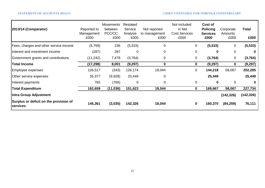| 2013/14 (Comparator)                               | Reported to<br>Management<br>£000 | Movements<br>between<br>PCC/CC<br>£000 | Restated<br>Service<br>Analysis<br>£000 | Not reported<br>to management<br>£000 | Not included<br>in Net<br><b>Cost Services</b><br>£000 | Cost of<br><b>Policing</b><br><b>Services</b><br>£000 | Corporate<br>Amounts<br>£000 | Total<br>£000 |
|----------------------------------------------------|-----------------------------------|----------------------------------------|-----------------------------------------|---------------------------------------|--------------------------------------------------------|-------------------------------------------------------|------------------------------|---------------|
| Fees, charges and other service income             | (5,769)                           | 236                                    | (5,533)                                 | $\overline{0}$                        | $\mathbf 0$                                            | (5, 533)                                              | 0                            | (5, 533)      |
| Interest and investment income                     | (287)                             | 287                                    | $\mathbf 0$                             | 0                                     | $\mathbf 0$                                            | 0                                                     | 0                            | 0             |
| Government grants and contributions                | (11, 242)                         | 7,478                                  | (3,764)                                 | 0                                     | $\mathbf 0$                                            | (3,764)                                               | 0                            | (3,764)       |
| <b>Total Income</b>                                | (17, 298)                         | 8,001                                  | (9,297)                                 | 0                                     | $\mathbf 0$                                            | (9, 297)                                              | 0                            | (9, 297)      |
| Employee expenses                                  | 126,517                           | (343)                                  | 126,174                                 | 18,044                                | $\mathbf 0$                                            | 144,218                                               | 58,067                       | 202,285       |
| Other service expenses                             | 35,377                            | (9,928)                                | 25,449                                  | 0                                     |                                                        | 25,449                                                |                              | 25,449        |
| Interest payments                                  | 765                               | (765)                                  | $\mathbf 0$                             | 0                                     | $\mathbf 0$                                            | $\mathbf{0}$                                          | 0                            | $\bf{0}$      |
| <b>Total Expenditure</b>                           | 162,659                           | (11, 036)                              | 151,623                                 | 18,044                                | $\mathbf 0$                                            | 169,667                                               | 58,067                       | 227,734       |
| Intra Group Adjustment                             |                                   |                                        |                                         |                                       |                                                        |                                                       | (142, 326)                   | (142, 326)    |
| Surplus or deficit on the provision of<br>services | 145,361                           | (3,035)                                | 142,326                                 | 18,044                                | $\bf{0}$                                               | 160,370                                               | (84, 259)                    | 76,111        |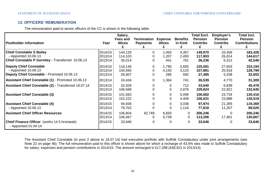# **13. OFFICERS' REMUNERATION**

The remuneration paid to senior officers of the CC is shown in the following table;

| <b>Postholder information</b>                                                                               | Year                          | Salary,<br>Fees and<br><b>Allces</b> | Termination<br><b>Payments</b> | <b>Expense</b><br><b>Allces</b> | <b>Benefits</b><br>in Kind | <b>Total Excl.</b><br><b>Pension</b><br><b>Contribs</b> | <b>Employer's</b><br><b>Pension</b><br><b>Contribs</b> | <b>Total Incl.</b><br><b>Pension</b><br><b>Contributions</b> |
|-------------------------------------------------------------------------------------------------------------|-------------------------------|--------------------------------------|--------------------------------|---------------------------------|----------------------------|---------------------------------------------------------|--------------------------------------------------------|--------------------------------------------------------------|
| <b>Chief Constable S Bailey</b><br>- Appointed 10.06.13<br>Chief Constable P Gormley - Transferred 10.06.13 | 2014/15<br>2013/14<br>2013/14 | 144,120<br>114,103<br>35,014         | 0                              | 1,493<br>1,207<br>441           | 4,357<br>2,493<br>781      | 149,970<br>117,803<br>36,236                            | 33,458<br>26,814<br>6,312                              | 183,428<br>144,617<br>42,548                                 |
| <b>Deputy Chief Constable</b><br>- Appointed 10.06.13<br>Deputy Chief Constable - Promoted 10.06.13         | 2014/15<br>2013/14<br>2013/14 | 118,146<br>100,565<br>26,607         | 0                              | 1,790<br>4,193<br>286           | 5,655<br>3,123<br>592      | 125,591<br>107,881<br>27,485                            | 27,603<br>20,918<br>5,208                              | 153,194<br>128,799<br>32,693                                 |
| Assistant Chief Constable (1) - Promoted 10.06.13                                                           | 2013/14                       | 24,434                               | 0                              | 1,364                           | 741                        | 26,539                                                  | 4,770                                                  | 31,309                                                       |
| Assistant Chief Constable (2) - Transferred 18.07.14                                                        | 2014/15<br>2013/14            | 32,928<br>106,948                    | 0                              | 0<br>0                          | 712<br>2,876               | 33,640<br>109,824                                       | 6,838<br>22,821                                        | 40,478<br>132,645                                            |
| <b>Assistant Chief Constable (3)</b>                                                                        | 2014/15<br>2013/14            | 101,583<br>102,222                   |                                | 0<br>0                          | 5,099<br>4,409             | 106,682<br>106,631                                      | 23,734<br>23,888                                       | 130,416<br>130,519                                           |
| <b>Assistant Chief Constable (4)</b><br>- Appointed 10.06.13                                                | 2014/15<br>2013/14            | 94,936<br>76,702                     |                                | 0<br>$\mathbf 0$                | 3,038<br>1,116             | 97,974<br>77,818                                        | 21,395<br>11,207                                       | 119,369<br>89,025                                            |
| <b>Assistant Chief Officer Resources</b>                                                                    | 2014/15<br>2013/14            | 106,804<br>106,467                   | 92,749<br>0                    | 6,693<br>6,739                  | 0<br>0                     | 206,246<br>113,206                                      | 0<br>17,461                                            | 206,246<br>130,667                                           |
| <b>Chief Finance Officer</b> (works 14.5 hrs/week)<br>- Appointed 01.04.14                                  | 2014/15                       | 33,646                               | 0                              | 0                               | $\Omega$                   | 33,646                                                  | 0                                                      | 33,646                                                       |

The Assistant Chief Constable (in post 2 above to 18.07.14) had executive portfolio with Suffolk Constabulary under joint arrangements (see Note 22 on page 46). The full remuneration paid to this officer is shown above for which a recharge of 43.5% was made to Suffolk Constabulary for salary, expenses and pension contributions in 2014/15. The amount recharged is £17,298 (£58,921 in 2013/14).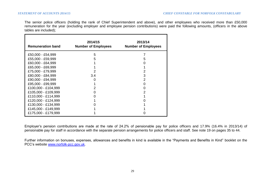The senior police officers (holding the rank of Chief Superintendent and above), and other employees who received more than £50,000 remuneration for the year (excluding employer and employee pension contributions) were paid the following amounts, (officers in the above tables are included);

| <b>Remuneration band</b> | 2014/15<br><b>Number of Employees</b> | 2013/14<br><b>Number of Employees</b> |
|--------------------------|---------------------------------------|---------------------------------------|
| £50,000 - £54,999        | 5                                     |                                       |
| £55,000 - £59,999        | 5                                     | 5                                     |
| £60,000 - £64,999        |                                       |                                       |
| £65,000 - £69,999        |                                       |                                       |
| £75,000 - £79,999        | 2                                     | 2                                     |
| £80,000 - £84,999        | 3.4                                   | 3                                     |
| £90,000 - £94,999        |                                       | 2                                     |
| £95,000 - £99,999        |                                       |                                       |
| £100,000 - £104,999      |                                       | O                                     |
| £105,000 - £109,999      | O                                     |                                       |
| £110,000 - £114,999      |                                       |                                       |
| £120,000 - £124,999      |                                       |                                       |
| £130,000 - £134,999      |                                       |                                       |
| £145,000 - £149,999      |                                       |                                       |
| £175,000 - £179,999      |                                       |                                       |

Employer's pension contributions are made at the rate of 24.2% of pensionable pay for police officers and 17.9% (16.4% in 2013/14) of pensionable pay for staff in accordance with the separate pension arrangements for police officers and staff. See note 19 on pages 35 to 44.

Further information on bonuses, expenses, allowances and benefits in kind is available in the "Payments and Benefits in Kind" booklet on the PCC's website [www.norfolk-pcc.gov.uk.](http://www.norfolk-pcc.gov.uk/)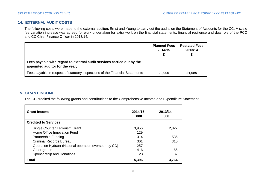# **14. EXTERNAL AUDIT COSTS**

The following costs were made to the external auditors Ernst and Young to carry out the audits on the Statement of Accounts for the CC. A scale fee variation increase was agreed for work undertaken for extra work on the financial statements, financial resilience and dual role of the PCC and CC Chief Finance Officer in 2013/14.

|                                                                                                           | <b>Planned Fees</b><br>2014/15 | <b>Restated Fees</b><br>2013/14 |
|-----------------------------------------------------------------------------------------------------------|--------------------------------|---------------------------------|
| Fees payable with regard to external audit services carried out by the<br>appointed auditor for the year; |                                |                                 |
| Fees payable in respect of statutory inspections of the Financial Statements                              | 20,000                         | 21,085                          |

# **15. GRANT INCOME**

The CC credited the following grants and contributions to the Comprehensive Income and Expenditure Statement.

| <b>Grant Income</b><br><b>Credited to Services</b>    | 2014/15<br>£000 | 2013/14<br>£000 |
|-------------------------------------------------------|-----------------|-----------------|
|                                                       |                 |                 |
| Single Counter Terrorism Grant                        | 3,956           | 2,822           |
| Home Office Innovation Fund                           | 129             |                 |
| Partnership Funding                                   | 314             | 535             |
| <b>Criminal Records Bureau</b>                        | 301             | 310             |
| Operation Hydrant (National operation overseen by CC) | 257             |                 |
| Other grants                                          | 416             | 65              |
| Sponsorship and Donations                             | 23              | 32              |
| Total                                                 | 5,396           | 3,764           |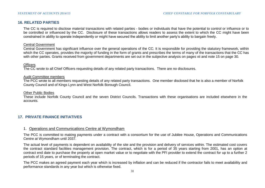# **16. RELATED PARTIES**

The CC is required to disclose material transactions with related parties - bodies or individuals that have the potential to control or influence or to be controlled or influenced by the CC. Disclosure of these transactions allows readers to assess the extent to which the CC might have been constrained in ability to operate independently or might have secured the ability to limit another party's ability to bargain freely.

#### Central Government

Central Government has significant influence over the general operations of the CC. It is responsible for providing the statutory framework, within which the CC operates, provides the majority of funding in the form of grants and prescribes the terms of many of the transactions that the CC has with other parties. Grants received from government departments are set out in the subjective analysis on pages vii and note 15 on page 30.

#### **Officers**

The CC wrote to all Chief Officers requesting details of any related party transactions. There are no disclosures.

#### Audit Committee members

The PCC wrote to all members requesting details of any related party transactions. One member disclosed that he is also a member of Norfolk County Council and of Kings Lynn and West Norfolk Borough Council.

#### Other Public Bodies

These include Norfolk County Council and the seven District Councils. Transactions with these organisations are included elsewhere in the accounts.

# **17. PRIVATE FINANCE INITIATIVES**

# 1. Operations and Communications Centre at Wymondham

The PCC is committed to making payments under a contract with a consortium for the use of Jubilee House, Operations and Communications Centre at Wymondham until 2037.

The actual level of payments is dependent on availability of the site and the provision and delivery of services within. The estimated cost covers the contract standard facilities management provision. The contract, which is for a period of 35 years starting from 2001, has an option at contract end date to purchase the property at open market value or to negotiate with the PFI provider to extend the contract for up to a further 2 periods of 15 years, or of terminating the contract.

The PCC makes an agreed payment each year which is increased by inflation and can be reduced if the contractor fails to meet availability and performance standards in any year but which is otherwise fixed.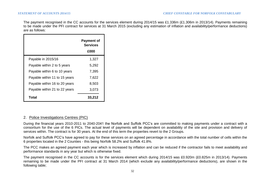The payment recognised in the CC accounts for the services element during 2014/15 was £1.336m (£1.306m in 2013/14). Payments remaining to be made under the PFI contract for services at 31 March 2015 (excluding any estimation of inflation and availability/performance deductions) are as follows:

|                               | <b>Payment of</b><br><b>Services</b><br>£000 |
|-------------------------------|----------------------------------------------|
| Payable in 2015/16            | 1,327                                        |
| Payable within 2 to 5 years   | 5,292                                        |
| Payable within 6 to 10 years  | 7,395                                        |
| Payable within 11 to 15 years | 7,622                                        |
| Payable within 16 to 20 years | 8,503                                        |
| Payable within 21 to 22 years | 3,073                                        |
| Total                         | 33,212                                       |

## 2. Police Investigations Centres (PIC)

During the financial years 2010-2011 to 2040-2041 the Norfolk and Suffolk PCC's are committed to making payments under a contract with a consortium for the use of the 6 PICs. The actual level of payments will be dependent on availability of the site and provision and delivery of services within. The contract is for 30 years. At the end of this term the properties revert to the 2 Groups.

Norfolk and Suffolk PCC's have agreed to pay for these services on an agreed percentage in accordance with the total number of cells within the 6 properties located in the 2 Counties - this being Norfolk 58.2% and Suffolk 41.8%.

The PCC makes an agreed payment each year which is increased by inflation and can be reduced if the contractor fails to meet availability and performance standards in any year but which is otherwise fixed.

The payment recognised in the CC accounts is for the services element which during 2014/15 was £0.920m (£0.825m in 2013/14). Payments remaining to be made under the PFI contract at 31 March 2014 (which exclude any availability/performance deductions), are shown in the following table;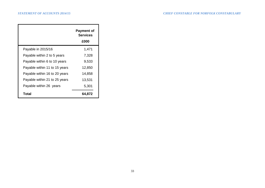|                               | <b>Payment of</b><br><b>Services</b><br>£000 |
|-------------------------------|----------------------------------------------|
| Payable in 2015/16            | 1,471                                        |
| Payable within 2 to 5 years   | 7,328                                        |
| Payable within 6 to 10 years  | 9,533                                        |
| Payable within 11 to 15 years | 12,850                                       |
| Payable within 16 to 20 years | 14,858                                       |
| Payable within 21 to 25 years | 13,531                                       |
| Payable within 26 years       | 5,301                                        |
| Total                         | 64,872                                       |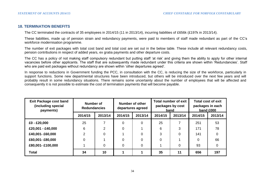## **18. TERMINATION BENEFITS**

The CC terminated the contracts of 35 employees in 2014/15 (11 in 2013/14), incurring liabilities of £656k (£197k in 2013/14).

These liabilities, made up of pension strain and redundancy payments, were paid to members of staff made redundant as part of the CC's workforce modernisation programme.

The number of exit packages with total cost band and total cost are set out in the below table. These include all relevant redundancy costs, pension contributions in respect of added years, ex gratia payments and other departure costs.

The CC has a policy of not making staff compulsory redundant but putting staff 'at risk' and giving them the ability to apply for other internal vacancies before other applicants. The staff that are subsequently made redundant under this criteria are shown within 'Redundancies'. Staff who are paid exit packages without redundancy are shown within 'other departures agreed'.

In response to reductions in Government funding the PCC, in consultation with the CC, is reducing the size of the workforce, particularly in support functions. Some new departmental structures have been introduced, but others will be introduced over the next few years and will probably result in some redundancy situations. There remains some uncertainty about the number of employees that will be affected and consequently it is not possible to estimate the cost of termination payments that will become payable.

| <b>Exit Package cost band</b><br>(including special<br>payments) | Number of<br><b>Redundancies</b> |                | Number of other<br>departures agreed |         | Total number of exit<br>packages by cost<br>band |          | Total cost of exit<br>packages in each<br>band £000 |         |
|------------------------------------------------------------------|----------------------------------|----------------|--------------------------------------|---------|--------------------------------------------------|----------|-----------------------------------------------------|---------|
|                                                                  | 2014/15                          | 2013/14        | 2014/15                              | 2013/14 | 2014/15                                          | 2013/14  | 2014/15                                             | 2013/14 |
| £0 - £20,000                                                     | 25                               |                | 0                                    | 0       | 25                                               |          | 251                                                 | 53      |
| £20,001 - £40,000                                                | 6                                | $\overline{2}$ | 0                                    |         | 6                                                | 3        | 171                                                 | 78      |
| £40,001-£60,000                                                  | $\mathcal{P}$                    | $\Omega$       |                                      | 0       | 3                                                | $\Omega$ | 141                                                 |         |
| £60,001-£80,000                                                  | 0                                |                | 0                                    | 0       | 0                                                |          | 0                                                   | 66      |
| £80,001- £100,000                                                |                                  | 0              | $\mathbf 0$                          | 0       |                                                  | 0        | 93                                                  | 0       |
| <b>Total</b>                                                     | 34                               | 10             |                                      |         | 35                                               | 11       | 656                                                 | 197     |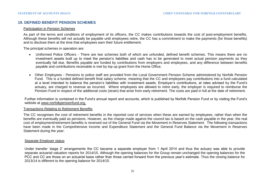# **19. DEFINED BENEFIT PENSION SCHEMES**

#### Participation in Pension Schemes

As part of the terms and conditions of employment of its officers, the CC makes contributions towards the cost of post-employment benefits. Although these benefits will not actually be payable until employees retire, the CC has a commitment to make the payments (for those benefits) and to disclose them at the time that employees earn their future entitlement.

The principal schemes in operation are:

- Uniformed Police Officers There are two schemes both of which are unfunded, defined benefit schemes. This means there are no investment assets built up to meet the pension's liabilities and cash has to be generated to meet actual pension payments as they eventually fall due. Benefits payable are funded by contributions from employers and employees, and any difference between benefits payable and contributions receivable is met by top up grant from the Home Office.
- Other Employees Pensions to police staff are provided from the Local Government Pension Scheme administered by Norfolk Pension Fund. This is a funded defined benefit final salary scheme, meaning that the CC and employees pay contributions into a fund calculated at a level intended to balance the pension's liabilities with investment assets. Employer's contributions, at rates advised by the Fund's actuary, are charged to revenue as incurred. Where employees are allowed to retire early, the employer is required to reimburse the Pension Fund in respect of the additional costs (strain) that arise from early retirement. The costs are paid in full at the date of retirement.

Further information is contained in the Fund's annual report and accounts, which is published by Norfolk Pension Fund or by visiting the Fund's website at www.norfolkpensionfund.org.

#### Transactions Relating to Retirement Benefits

The CC recognises the cost of retirement benefits in the reported cost of services when these are earned by employees, rather than when the benefits are eventually paid as pensions. However, as the charge made against the council tax is based on the cash payable in the year, the real cost of employment/retirement benefits is reversed out of the General Fund via the Movement in Reserves Statement. The following transactions have been made in the Comprehensive Income and Expenditure Statement and the General Fund Balance via the Movement in Reserves Statement during the year:

#### Separate Employer status

Under transfer 'stage 2' arrangements the CC became a separate employer from 1 April 2014 and thus the actuary was able to provide separate actuarial valuation reports for 2014/15. Although the opening balances for the Group remain unchanged the opening balances for the PCC and CC are those on an actuarial basis rather than those carried forward from the previous year's estimate. Thus the closing balance for 2013/14 is different to the opening balance for 2014/15.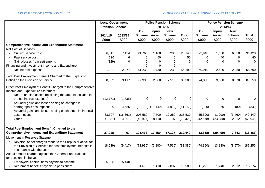|                                                                                                                                                           | <b>Local Government</b> |           |                         | <b>Police Pension Scheme</b>  |                             |              |                      | <b>Police Pension Scheme</b>  |                             |              |
|-----------------------------------------------------------------------------------------------------------------------------------------------------------|-------------------------|-----------|-------------------------|-------------------------------|-----------------------------|--------------|----------------------|-------------------------------|-----------------------------|--------------|
|                                                                                                                                                           | <b>Pension Scheme</b>   |           |                         |                               | 2014/15                     |              |                      | 2013/14                       |                             |              |
|                                                                                                                                                           | 2014/15                 | 2013/14   | Old<br><b>Scheme</b>    | <b>Injury</b><br><b>Award</b> | <b>New</b><br><b>Scheme</b> | <b>Total</b> | Old<br><b>Scheme</b> | <b>Injury</b><br><b>Award</b> | <b>New</b><br><b>Scheme</b> | <b>Total</b> |
|                                                                                                                                                           | £000                    | £000      | £000                    | £000                          | £000                        | £000         | £000                 | £000                          | £000                        | £000         |
| <b>Comprehensive Income and Expenditure Statement</b>                                                                                                     |                         |           |                         |                               |                             |              |                      |                               |                             |              |
| Net Cost of Services:                                                                                                                                     |                         |           |                         |                               |                             |              |                      |                               |                             |              |
| Current service cost                                                                                                                                      | 6,811                   | 7,134     | 21,760                  | 1,100                         | 5,280                       | 28,140       | 23,940               | 1,160                         | 6,320                       | 31,420       |
| Past service cost                                                                                                                                         | 226                     | 6         | 0                       | 50                            | 0                           | 50           | 0                    | 40                            | $\mathbf 0$                 | 40           |
| Gains/losses from settlements                                                                                                                             | (329)                   | $\Omega$  | $\Omega$                | $\Omega$                      | $\Omega$                    | $\Omega$     | $\Omega$             | $\Omega$                      | $\Omega$                    | $\Omega$     |
| Financing and Investment Income and Expenditure                                                                                                           |                         |           | $\Omega$                | $\Omega$                      | 0                           |              |                      |                               |                             |              |
| Net interest expense<br>$\sim$                                                                                                                            | 1,931                   | 2,277     | 51,230                  | 1,730                         | 2,230                       | 55,190       | 50,910               | 2,630                         | 2,250                       | 55,790       |
| Total Post Employment Benefit Charged to the Surplus or<br>Deficit on the Provision of Service                                                            | 8,639                   | 9,417     | 72,990                  | 2,880                         | 7,510                       | 83,380       | 74,850               | 3,830                         | 8,570                       | 87,250       |
| Other Post Employment Benefit Charged to the Comprehensive<br>Income and Expenditure Statement<br>Return on plan assets (excluding the amount included in |                         |           |                         |                               |                             |              |                      |                               |                             |              |
| the net interest expense)<br>$\blacksquare$<br>Actuarial gains and losses arising on changes in                                                           | (12, 771)               | (1,835)   | $\mathbf 0$             | 0                             | 0                           | 0            | 0                    | 0                             | 0                           | 0            |
| demographic assumptions<br>$\sim$<br>Actuarial gains and losses arising on changes in financial                                                           | 0                       | 4,555     | $(38, 180)$ $(18, 140)$ |                               | (4,830)                     | (61, 150)    | (300)                | 50                            | (80)                        | (330)        |
| assumptions                                                                                                                                               | 33,307                  | (16, 361) | 205,580                 | 7,700                         | 12,250                      | 225,530      | (35,690)             | (1,290)                       | (3,460)                     | (40, 440)    |
| Other                                                                                                                                                     | (1, 257)                | 4,291     | (48, 927)               | 18,410                        | 2,197                       | (28, 320)    | (42, 678)            | (23,080)                      | 2,812                       | (62, 946)    |
|                                                                                                                                                           |                         |           |                         |                               |                             |              |                      |                               |                             |              |
| <b>Total Post Employment Benefit Charged to the</b><br><b>Comprehensive Income and Expenditure Statement</b>                                              | 27,918                  | 67        | 191,463                 | 10,850                        | 17,127                      | 219,440      | (3,818)              | (20, 490)                     | 7,842                       | (16, 466)    |
| Movement in Reserves Statement                                                                                                                            |                         |           |                         |                               |                             |              |                      |                               |                             |              |
| Reversal of net charges made to the Surplus or deficit for<br>the Provision of Services for post employment benefits in<br>accordance with the code       | (8,639)                 | (9, 417)  | (72,990)                | (2,880)                       | (7, 510)                    | (83, 380)    | (74, 850)            | (3,830)                       | (8,570)                     | (87, 250)    |
| Actual amount charged against the General Fund Balance<br>for pensions in the year:                                                                       |                         |           |                         |                               |                             |              |                      |                               |                             |              |
| Employers' contributions payable to scheme                                                                                                                | 5,688                   | 5,440     |                         |                               |                             |              |                      |                               |                             |              |
| Retirement benefits payable to pensioners                                                                                                                 |                         |           | 11,673                  | 1,410                         | 2,897                       | 15,980       | 11,222               | 1,240                         | 2,612                       | 15,074       |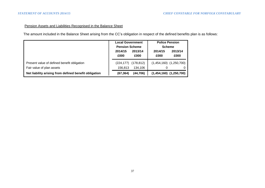# Pension Assets and Liabilities Recognised in the Balance Sheet

The amount included in the Balance Sheet arising from the CC's obligation in respect of the defined benefits plan is as follows:

|                                                                          | 2014/15<br>£000       | <b>Local Government</b><br><b>Pension Scheme</b><br>2013/14<br>£000 |   | <b>Police Pension</b><br><b>Scheme</b><br>2013/14<br>2014/15<br>£000<br>£000 |  |
|--------------------------------------------------------------------------|-----------------------|---------------------------------------------------------------------|---|------------------------------------------------------------------------------|--|
| Present value of defined benefit obligation<br>Fair value of plan assets | (224, 177)<br>156.813 | (178,812)<br>134.106                                                | 0 | $(1,454,160)$ $(1,250,700)$<br>$\Omega$                                      |  |
| Net liability arising from defined benefit obligation                    | (67, 364)             | (44, 706)                                                           |   | $(1,454,160)$ $(1,250,700)$                                                  |  |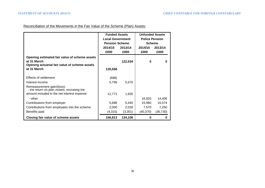Reconciliation of the Movements in the Fair Value of the Scheme (Plan) Assets:

|                                               | <b>Funded Assets</b>    |         | <b>Unfunded Assets</b> |          |
|-----------------------------------------------|-------------------------|---------|------------------------|----------|
|                                               | <b>Local Government</b> |         | <b>Police Pension</b>  |          |
|                                               | <b>Pension Scheme</b>   |         | <b>Scheme</b>          |          |
|                                               | 2014/15                 | 2013/14 | 2014/15                | 2013/14  |
|                                               | £000                    | £000    | £000                   | £000     |
| Opening estimated fair value of scheme assets |                         |         |                        |          |
| at 31 March                                   |                         | 122,534 | 0                      | 0        |
| Opening actuarial fair value of scheme assets |                         |         |                        |          |
| at 31 March                                   | 135,558                 |         |                        |          |
|                                               |                         |         |                        |          |
| Effects of settlement                         | (688)                   |         |                        |          |
| Interest income                               | 5,799                   | 5,570   |                        |          |
| Remeasurement gain/(loss):                    |                         |         |                        |          |
| - the return on plan Assets, excluding the    |                         |         |                        |          |
| amount included in the net interest expense   | 12,771                  | 1,835   |                        |          |
| - other                                       |                         |         | 16,820                 | 14,406   |
| Contributions from employer                   | 5,688                   | 5,440   | 15,980                 | 15,074   |
| Contributions from employees into the scheme  | 2,000                   | 2,028   | 7,570                  | 7,250    |
| Benefits paid                                 | (4,315)                 | (3,301) | (40, 370)              | (36,730) |
| Closing fair value of scheme assets           | 156,813                 | 134,106 | 0                      | 0        |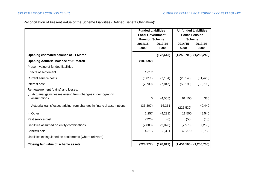# Reconciliation of Present Value of the Scheme Liabilities (Defined Benefit Obligation):

|                                                                      | <b>Funded Liabilities</b> |            | <b>Unfunded Liabilities</b> |           |  |
|----------------------------------------------------------------------|---------------------------|------------|-----------------------------|-----------|--|
|                                                                      | <b>Local Government</b>   |            | <b>Police Pension</b>       |           |  |
|                                                                      | <b>Pension Scheme</b>     |            | <b>Scheme</b>               |           |  |
|                                                                      | 2014/15                   | 2013/14    | 2014/15                     | 2013/14   |  |
|                                                                      | £000                      | £000       | £000                        | £000      |  |
| <b>Opening estimated balance at 31 March</b>                         |                           | (172, 613) | $(1,250,700)$ $(1,282,240)$ |           |  |
| <b>Opening Actuarial balance at 31 March</b>                         | (180, 692)                |            |                             |           |  |
| Present value of funded liabilities                                  |                           |            |                             |           |  |
| <b>Effects of settlement</b>                                         | 1,017                     |            |                             |           |  |
| <b>Current service costs</b>                                         | (6, 811)                  | (7, 134)   | (28, 140)                   | (31, 420) |  |
| Interest cost                                                        | (7,730)                   | (7, 847)   | (55, 190)                   | (55, 790) |  |
| Remeasurement (gains) and losses:                                    |                           |            |                             |           |  |
| Actuarial gains/losses arising from changes in demographic           |                           |            |                             |           |  |
| assumptions                                                          | $\mathsf 0$               | (4, 555)   | 61,150                      | 330       |  |
| Actuarial gains/losses arising from changes in financial assumptions | (33, 307)                 | 16,361     | (225, 530)                  | 40,440    |  |
| - Other                                                              | 1,257                     | (4, 291)   | 11,500                      | 48,540    |  |
|                                                                      |                           |            |                             |           |  |
| Past service cost                                                    | (226)                     | (6)        | (50)                        | (40)      |  |
| Liabilities assumed on entity combinations                           | (2,000)                   | (2,028)    | (7,570)                     | (7,250)   |  |
| Benefits paid                                                        | 4,315                     | 3,301      | 40,370                      | 36,730    |  |
| Liabilities extinguished on settlements (where relevant)             |                           |            |                             |           |  |
| Closing fair value of scheme assets                                  | (224, 177)                | (178, 812) | $(1,454,160)$ $(1,250,700)$ |           |  |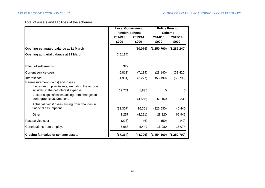# Total of assets and liabilities of the schemes

|                                                                                        | <b>Local Government</b><br><b>Pension Scheme</b><br>2014/15 | 2013/14   | <b>Police Pension</b><br><b>Scheme</b><br>2014/15<br>2013/14 |             |  |
|----------------------------------------------------------------------------------------|-------------------------------------------------------------|-----------|--------------------------------------------------------------|-------------|--|
|                                                                                        | £000                                                        | £000      | £000                                                         | £000        |  |
| Opening estimated balance at 31 March                                                  |                                                             | (50,079)  | (1, 250, 700)                                                | (1,282,240) |  |
| Opening actuarial balance at 31 March                                                  | (45, 134)                                                   |           |                                                              |             |  |
|                                                                                        |                                                             |           |                                                              |             |  |
| <b>Effect of settlements</b>                                                           | 329                                                         |           |                                                              |             |  |
| Current service costs                                                                  | (6, 811)                                                    | (7, 134)  | (28, 140)                                                    | (31, 420)   |  |
| Interest cost                                                                          | (1,931)                                                     | (2, 277)  | (55, 190)                                                    | (55, 790)   |  |
| Remeasurement (gains) and losses:<br>- the return on plan Assets, excluding the amount |                                                             |           |                                                              |             |  |
| included in the net interest expense                                                   | 12,771                                                      | 1,835     | $\Omega$                                                     | 0           |  |
| - Actuarial gains/losses arising from changes in                                       |                                                             |           |                                                              |             |  |
| demographic assumptions                                                                | 0                                                           | (4, 555)  | 61,150                                                       | 330         |  |
| - Actuarial gains/losses arising from changes in<br>financial assumptions              | (33, 307)                                                   | 16,361    | (225, 530)                                                   | 40,440      |  |
| - Other                                                                                | 1,257                                                       | (4,291)   | 28,320                                                       | 62,946      |  |
| Past service cost                                                                      | (226)                                                       | (6)       | (50)                                                         | (40)        |  |
| Contributions from employer                                                            | 5,688                                                       | 5,440     | 15,980                                                       | 15,074      |  |
| Closing fair value of scheme assets                                                    | (67, 364)                                                   | (44, 706) | (1,454,160)                                                  | (1,250,700) |  |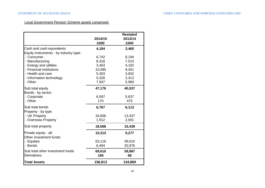# Local Government Pension Scheme assets comprised:

|                                        |         | <b>Restated</b> |
|----------------------------------------|---------|-----------------|
|                                        | 2014/15 | 2013/14         |
|                                        | £000    | £000            |
| Cash and cash equivalents              | 4,184   | 3,460           |
| Equity instruments - by industry type: |         |                 |
| - Consumer                             | 6,742   | 8,194           |
| - Manufacturing                        | 8,318   | 7,515           |
| - Energy and utilities                 | 3,453   | 4,192           |
| - Financial institutions               | 10,085  | 8,401           |
| - Health and care                      | 5,303   | 3,832           |
| - Information technology               | 5,328   | 2,412           |
| - Other                                | 7,947   | 5,990           |
| Sub total equity                       | 47,176  | 40,537          |
| Bonds - by sector:                     |         |                 |
| - Corporate                            | 6,597   | 5,637           |
| - Other                                | 170     | 475             |
| Sub total bonds                        | 6,767   | 6,113           |
| Property - by type:                    |         |                 |
| - UK Property                          | 16,656  | 13,437          |
| - Overseas Property                    | 1,912   | 2,001           |
| Sub total property                     | 18,568  | 15,439          |
| Private equity - all:                  | 10,313  | 9,277           |
| Other investment funds:                |         |                 |
| - Equities                             | 63,116  | 39,010          |
| - Bonds                                | 6,494   | 20,976          |
| Sub total other investment funds       | 69,610  | 59,987          |
| Derivatives:                           | 195     | 58              |
| <b>Total Assets</b>                    | 156,813 | 134,869         |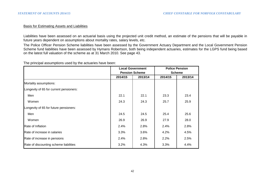#### Basis for Estimating Assets and Liabilities

Liabilities have been assessed on an actuarial basis using the projected unit credit method, an estimate of the pensions that will be payable in future years dependent on assumptions about mortality rates, salary levels, etc.

The Police Officer Pension Scheme liabilities have been assessed by the Government Actuary Department and the Local Government Pension Scheme fund liabilities have been assessed by Hymans Robertson, both being independent actuaries, estimates for the LGPS fund being based on the latest full valuation of the scheme as at 31 March 2010. See page 43.

The principal assumptions used by the actuaries have been:

|                                         |         | <b>Local Government</b> | <b>Police Pension</b> |         |  |
|-----------------------------------------|---------|-------------------------|-----------------------|---------|--|
|                                         |         | <b>Pension Scheme</b>   | <b>Scheme</b>         |         |  |
|                                         | 2014/15 | 2013/14                 | 2014/15               | 2013/14 |  |
| Mortality assumptions:                  |         |                         |                       |         |  |
| Longevity of 65 for current pensioners: |         |                         |                       |         |  |
| Men                                     | 22.1    | 22.1                    | 23.3                  | 23.4    |  |
| Women                                   | 24.3    | 24.3                    | 25.7                  | 25.9    |  |
| Longevity of 65 for future pensioners:  |         |                         |                       |         |  |
| Men                                     | 24.5    | 24.5                    | 25.4                  | 25.6    |  |
| Women                                   | 26.9    | 26.9                    | 27.9                  | 28.0    |  |
| Rate of Inflation                       | 2.4%    | 2.8%                    | 2.4%                  | 2.8%    |  |
| Rate of increase in salaries            | 3.3%    | 3.6%                    | 4.2%                  | 4.5%    |  |
| Rate of increase in pensions            | 2.4%    | 2.8%                    | 2.2%                  | 2.5%    |  |
| Rate of discounting scheme liabilities  | 3.2%    | 4.3%                    | 3.3%                  | 4.4%    |  |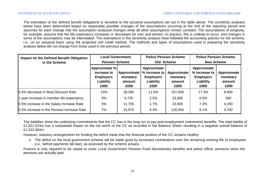The estimation of the defined benefit obligations is sensitive to the actuarial assumptions set out in the table above. The sensitivity analyses below have been determined based on reasonably possible changes of the assumptions occurring at the end of the reporting period and assumes for each change that the assumption analysed changes while all other assumptions remain constant. The assumptions of longevity, for example, assume that the life expectancy increases or decreases for men and women. In practice, this is unlikely to occur, and changes in some of the assumptions may be interrelated. The estimations in the sensitivity analysis have followed the accounting policies for the scheme, i.e., on an actuarial basis using the projected unit credit method. The methods and types of assumptions used in preparing the sensitivity analysis below did not change from those used in the previous period.

| Impact on the Defined Benefit Obligation<br>in the Scheme | <b>Local Government</b><br><b>Pension Scheme</b>                      |                                           | <b>Police Pension Scheme</b><br>Old Scheme                            |                                           | <b>Police Pension Scheme</b><br><b>New Scheme</b>                     |                                           |
|-----------------------------------------------------------|-----------------------------------------------------------------------|-------------------------------------------|-----------------------------------------------------------------------|-------------------------------------------|-----------------------------------------------------------------------|-------------------------------------------|
|                                                           | Approximate %<br>increase to<br><b>Employers</b><br>Liability<br>£000 | Approximate<br>monetary<br>amount<br>£000 | Approximate<br>% increase to<br><b>Employers</b><br>Liability<br>£000 | Approximate<br>monetary<br>amount<br>£000 | Approximate<br>% increase to<br><b>Employers</b><br>Liability<br>£000 | Approximate<br>monetary<br>amount<br>£000 |
| 0.5% decrease in Real Discount Rate                       | 13%                                                                   | 28,390                                    | 11.6%                                                                 | 157,000                                   | 17.3%                                                                 | 9,900                                     |
| 1 year increase in member life expectancy                 | 3%                                                                    | 6,725                                     | 2.5%                                                                  | 33,000                                    | 0.5%                                                                  | 300                                       |
| 0.5% increase in the Salary Increase Rate                 | 5%                                                                    | 11,705                                    | 1.7%                                                                  | 22,000                                    | 7.3%                                                                  | 4,200                                     |
| 0.5% increase in the Pension Increase Rate                | 7%                                                                    | 15,975                                    | 9.3%                                                                  | 126,000                                   | 8.1%                                                                  | 4,700                                     |

The liabilities show the underlying commitments that the CC has in the long run to pay post-employment (retirement) benefits. The total liability of £1,521.524m has a substantial impact on the net worth of the CC as recorded in the Balance Sheet, resulting in a negative overall balance of £1,522.004m.

However, statutory arrangements for funding the deficit mean that the financial position of the CC remains healthy:

• The deficit on the local government scheme will be made good by increased contributions over the remaining working life of employees (i.e., before payments fall due), as assessed by the scheme actuary.

Finance is only required to be raised to cover Local Government Pension Fund discretionary benefits and police officer pensions when the pensions are actually paid.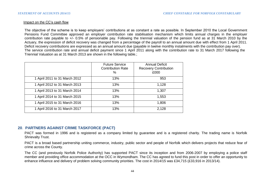#### Impact on the CC's cash flow

The objective of the scheme is to keep employers' contributions at as constant a rate as possible. In September 2010 the Local Government Pensions Fund Committee approved an employer contribution rate stabilisation mechanism which limits annual charges in the employer contribution rate payable to +/- 0.5% of pensionable pay. Following the triennial valuation of the pension fund as at 31 March 2010 by the Actuary, the expression of deficit recovery was changed from a percentage of the payroll to an annual amount due with effect from 1 April 2011. Deficit recovery contributions are expressed as an annual amount due (payable in twelve monthly instalments with the contribution pay over). The service contribution rate and annual deficit payment since 1 April 2011 along with the contribution rate to 31 March 2017 following the Triennial Valuation as at 31 March 2013 are shown in the following table.;

|                               | <b>Future Service</b><br><b>Contribution Rate</b><br>$\%$ | <b>Annual Deficit</b><br><b>Recovery Contribution</b><br>£000 |
|-------------------------------|-----------------------------------------------------------|---------------------------------------------------------------|
| 1 April 2011 to 31 March 2012 | 13%                                                       | 953                                                           |
| 1 April 2012 to 31 March 2013 | 13%                                                       | 1,128                                                         |
| 1 April 2013 to 31 March 2014 | 13%                                                       | 1,307                                                         |
| 1 April 2014 to 31 March 2015 | 13%                                                       | 1,553                                                         |
| 1 April 2015 to 31 March 2016 | 13%                                                       | 1,806                                                         |
| 1 April 2016 to 31 March 2017 | 13%                                                       | 2,128                                                         |

# **20**. **PARTNERS AGAINST CRIME TASKFORCE (PACT)**

PACT was formed in 1996 and is registered as a company limited by guarantee and is a registered charity. The trading name is Norfolk Shrievalty Trust.

PACT is a broad based partnership uniting commerce, industry, public sector and people of Norfolk which delivers projects that reduce fear of crime across the County.

The CC (and previously Norfolk Police Authority) has supported PACT since its inception and from 2006-2007 by employing a police staff member and providing office accommodation at the OCC in Wymondham. The CC has agreed to fund this post in order to offer an opportunity to enhance influence and delivery of problem solving community priorities. The cost in 2014/15 was £34,715 (£33,916 in 2013/14).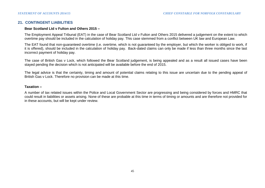# **21. CONTINGENT LIABILITIES**

#### **Bear Scotland Ltd v Fulton and Others 2015 –**

The Employment Appeal Tribunal (EAT) in the case of Bear Scotland Ltd v Fulton and Others 2015 delivered a judgement on the extent to which overtime pay should be included in the calculation of holiday pay. This case stemmed from a conflict between UK law and European Law.

The EAT found that non-guaranteed overtime (i.e. overtime, which is not guaranteed by the employer, but which the worker is obliged to work, if it is offered), should be included in the calculation of holiday pay. Back-dated claims can only be made if less than three months since the last incorrect payment of holiday pay.

The case of British Gas v Lock, which followed the Bear Scotland judgement, is being appealed and as a result all issued cases have been stayed pending the decision which is not anticipated will be available before the end of 2015.

The legal advice is that the certainty, timing and amount of potential claims relating to this issue are uncertain due to the pending appeal of British Gas v Lock. Therefore no provision can be made at this time.

#### **Taxation –**

A number of tax related issues within the Police and Local Government Sector are progressing and being considered by forces and HMRC that could result in liabilities or assets arising. None of these are probable at this time in terms of timing or amounts and are therefore not provided for in these accounts, but will be kept under review.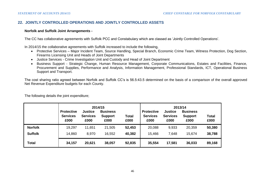# **22. JOINTLY CONTROLLED OPERATIONS AND JOINTLY CONTROLLED ASSETS**

#### **Norfolk and Suffolk Joint Arrangements -**

The CC has collaborative agreements with Suffolk PCC and Constabulary which are classed as 'Jointly Controlled Operations'.

In 2014/15 the collaborative agreements with Suffolk increased to include the following,

- Protective Services Major Incident Team, Source Handling, Special Branch, Economic Crime Team, Witness Protection, Dog Section, Firearms Licensing Unit and Heads of Joint Departments
- Justice Services Crime Investigation Unit and Custody and Head of Joint Department
- Business Support Strategic Change, Human Resource Management, Corporate Communications, Estates and Facilities, Finance, Procurement and Supplies, Performance and Analysis, Information Management, Professional Standards, ICT, Operational Business Support and Transport.

The cost sharing ratio agreed between Norfolk and Suffolk CC's is 56.5:43.5 determined on the basis of a comparison of the overall approved Net Revenue Expenditure budgets for each County.

|                | <b>Protective</b><br><b>Services</b><br>£000 | <b>Justice</b><br><b>Services</b><br>£000 | 2014/15<br><b>Business</b><br>Total<br><b>Support</b><br>£000<br>£000 |        | 2013/14<br><b>Justice</b><br><b>Business</b><br><b>Protective</b><br><b>Services</b><br><b>Services</b><br><b>Support</b><br>£000<br>£000<br>£000 |        |        | <b>Total</b><br>£000 |
|----------------|----------------------------------------------|-------------------------------------------|-----------------------------------------------------------------------|--------|---------------------------------------------------------------------------------------------------------------------------------------------------|--------|--------|----------------------|
| <b>Norfolk</b> | 19,297                                       | 11,651                                    | 21,505                                                                | 52,453 | 20,088                                                                                                                                            | 9,933  | 20,359 | 50,380               |
| <b>Suffolk</b> | 14,860                                       | 8,970                                     | 16,552                                                                | 40,382 | 15,466                                                                                                                                            | 7,648  | 15,674 | 38,788               |
| Total          | 34,157                                       | 20,621                                    | 38,057                                                                | 92,835 | 35,554                                                                                                                                            | 17,581 | 36,033 | 89,168               |

The following details the joint expenditure;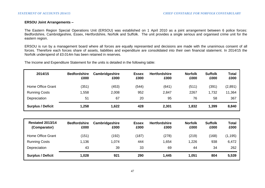#### **ERSOU Joint Arrangements –**

The Eastern Region Special Operations Unit (ERSOU) was established on 1 April 2010 as a joint arrangement between 6 police forces: Bedfordshire, Cambridgeshire, Essex, Hertfordshire, Norfolk and Suffolk. The unit provides a single serious and organised crime unit for the eastern region.

ERSOU is run by a management board where all forces are equally represented and decisions are made with the unanimous consent of all forces. Therefore each forces share of assets, liabilities and expenditure are consolidated into their own financial statement. In 2014/15 the Norfolk underspend of £0.014m has been retained in reserves.

The Income and Expenditure Statement for the units is detailed in the following table:

| 2014/15                  | <b>Bedfordshire</b><br>£000 | Cambridgeshire<br>£000 | <b>Essex</b><br>£000 | <b>Hertfordshire</b><br>£000 | <b>Norfolk</b><br>£000 | <b>Suffolk</b><br>£000 | <b>Total</b><br>£000 |
|--------------------------|-----------------------------|------------------------|----------------------|------------------------------|------------------------|------------------------|----------------------|
| Home Office Grant        | (351)                       | (453)                  | (544)                | (641)                        | (511)                  | (391)                  | (2,891)              |
| <b>Running Costs</b>     | 1,558                       | 2,008                  | 952                  | 2,847                        | 2267                   | 1,732                  | 11,364               |
| Depreciation             | 51                          | 67                     | 20                   | 95                           | 76                     | 58                     | 367                  |
| <b>Surplus / Deficit</b> | 1,258                       | 1,622                  | 428                  | 2,301                        | 1,832                  | 1,399                  | 8,840                |

| <b>Restated 2013/14</b><br>(Comparator) | <b>Bedfordshire</b><br>£000 | Cambridgeshire<br>£000 | <b>Essex</b><br>£000 | <b>Hertfordshire</b><br>£000 | <b>Norfolk</b><br>£000 | <b>Suffolk</b><br>£000 | <b>Total</b><br>£000 |
|-----------------------------------------|-----------------------------|------------------------|----------------------|------------------------------|------------------------|------------------------|----------------------|
| Home Office Grant                       | (151)                       | (192)                  | (187)                | (278)                        | (219)                  | (168)                  | (1, 195)             |
| <b>Running Costs</b>                    | 1,136                       | 1,074                  | 444                  | .654                         | 1,226                  | 938                    | 6,472                |
| Depreciation                            | 43                          | 39                     | 33                   | 69                           | 44                     | 34                     | 262                  |
| <b>Surplus / Deficit</b>                | 1,028                       | 921                    | 290                  | 1,445                        | 1,051                  | 804                    | 5,539                |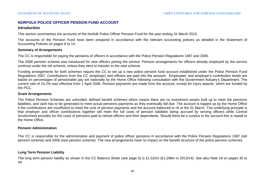# **NORFOLK POLICE OFFICER PENSION FUND ACCOUNT**

#### **Introduction**

This section summarises the accounts of the Norfolk Police Officer Pension Fund for the year ending 31 March 2015.

The accounts of the Pension Fund have been prepared in accordance with the relevant accounting policies as detailed in the Statement of Accounting Policies on pages 8 to 14.

#### **Summary of Arrangements**

The CC is responsible for paying the pensions of officers in accordance with the Police Pension Regulations 1987 and 2006.

The 2006 pension scheme was introduced for new officers joining the service. Pension arrangements for officers already employed by the service continue under the old scheme, unless they elect to transfer to the new scheme.

Funding arrangements for both schemes require the CC to set up a new police pension fund account established under the Police Pension Fund Regulations 2007. Contributions from the CC (employer) and officers are paid into the account. Employees' and employer's contribution levels are based on percentages of pensionable pay set nationally by the Home Office following consultation with the Government Actuary's Department. The current rate of 24.2% was effective from 1 April 2008. Pension payments are made from the account, except for injury awards, which are funded by the PCC.

#### **Grant Arrangements**

The Police Pension Schemes are unfunded, defined benefit schemes which means there are no investment assets built up to meet the pensions liabilities, and cash has to be generated to meet actual pensions payments as they eventually fall due. The account is topped up by the Home Office if the contributions are insufficient to meet the cost of pension payments and the account balanced to nil at the 31 March. The underlying principle is that employer and officer contributions together will meet the full costs of pension liabilities being accrued by serving officers while Central Government provides for the costs of pensions paid to retired officers and their dependants. Should there be a surplus in the account this is repaid to the Home Office.

#### **Pension Administration**

The CC is responsible for the administration and payment of police officer pensions in accordance with the Police Pension Regulations 1987 (old pension scheme) and 2006 (new pension scheme). The new arrangements have no impact on the benefit structure of the police pension schemes.

#### **Long Term Pension Liability**

The long term pension liability as shown in the CC Balance Sheet (see page 5) is £1,522m (£1,296m in 2013/14). See also Note 19 on pages 35 to 44.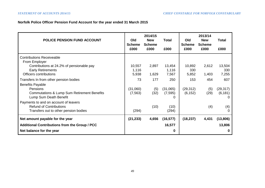# **Norfolk Police Officer Pension Fund Account for the year ended 31 March 2015**

| <b>POLICE PENSION FUND ACCOUNT</b>                                                                               | Old<br><b>Scheme</b><br>£000 | 2014/15<br><b>New</b><br><b>Scheme</b><br>£000 | <b>Total</b><br>£000      | Old<br><b>Scheme</b><br>£000 | 2013/14<br><b>New</b><br><b>Scheme</b><br>£000 | Total<br>£000         |
|------------------------------------------------------------------------------------------------------------------|------------------------------|------------------------------------------------|---------------------------|------------------------------|------------------------------------------------|-----------------------|
| <b>Contributions Receiveable</b><br>From Employer<br>Contributions at 24.2% of pensionable pay                   | 10,557                       | 2,897                                          | 13,454                    | 10,892                       | 2,612                                          | 13,504                |
| <b>Early Retirements</b><br>Officers contributions                                                               | 1,116<br>5,938               | 1,629                                          | 1,116<br>7,567            | 330<br>5,852                 | 1,403                                          | 330<br>7,255          |
| Transfers In from other pension bodies<br><b>Benefits Payable</b>                                                | 73                           | 177                                            | 250                       | 153                          | 454                                            | 607                   |
| Pensions<br><b>Commutations &amp; Lump Sum Retirement Benefits</b><br>Lump Sum Death Benefit                     | (31,060)<br>(7, 563)         | (5)<br>(32)                                    | (31,065)<br>(7, 595)<br>0 | (29, 312)<br>(6, 152)        | (5)<br>(29)                                    | (29, 317)<br>(6, 181) |
| Payments to and on account of leavers<br><b>Refund of Contributions</b><br>Transfers out to other pension bodies | (294)                        | (10)                                           | (10)<br>(294)             |                              | (4)                                            | (4)                   |
| Net amount payable for the year                                                                                  | (21, 233)                    | 4,656                                          | (16, 577)                 | (18, 237)                    | 4,431                                          | (13,806)              |
| <b>Additional Contributions from the Group / PCC</b>                                                             |                              |                                                | 16,577                    |                              |                                                | 13,806                |
| Net balance for the year                                                                                         |                              |                                                | 0                         |                              |                                                | 0                     |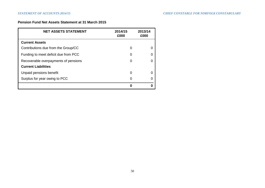# **Pension Fund Net Assets Statement at 31 March 2015**

| <b>NET ASSETS STATEMENT</b>          | 2014/15<br>£000 | 2013/14<br>£000 |
|--------------------------------------|-----------------|-----------------|
| <b>Current Assets</b>                |                 |                 |
| Contributions due from the Group/CC  | 0               |                 |
| Funding to meet deficit due from PCC | 0               |                 |
| Recoverable overpayments of pensions | 0               |                 |
| <b>Current Liabilities</b>           |                 |                 |
| Unpaid pensions benefit              | 0               |                 |
| Surplus for year owing to PCC        | 0               |                 |
|                                      | ŋ               |                 |